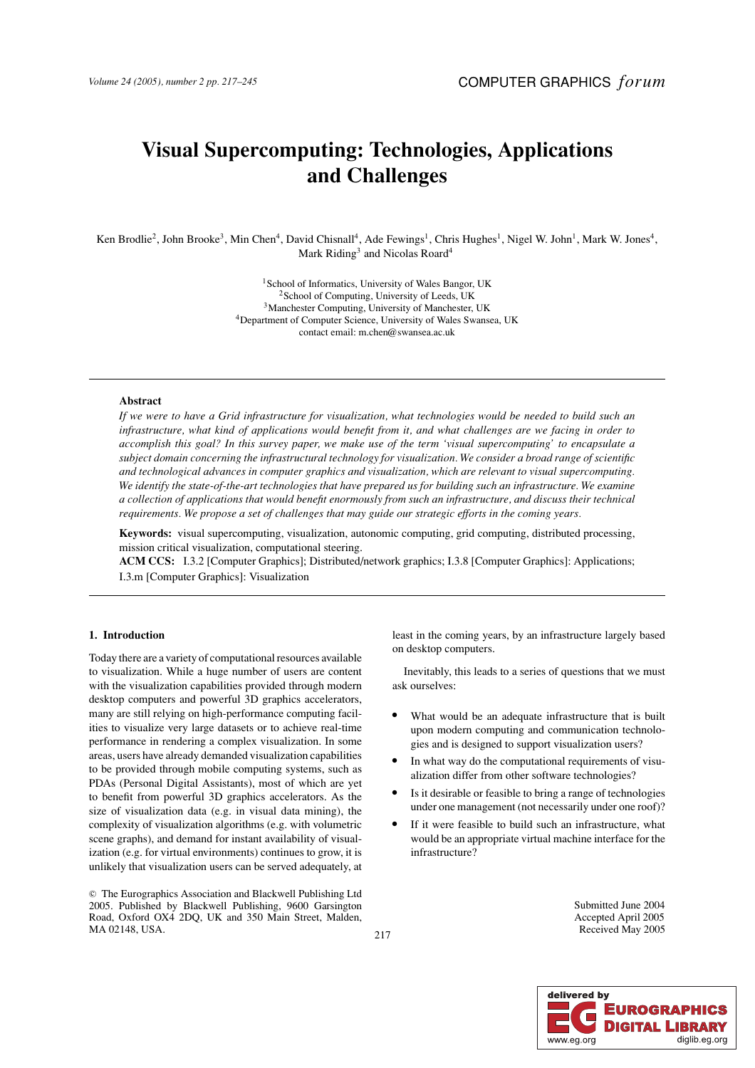# **Visual Supercomputing: Technologies, Applications and Challenges**

Ken Brodlie<sup>2</sup>, John Brooke<sup>3</sup>, Min Chen<sup>4</sup>, David Chisnall<sup>4</sup>, Ade Fewings<sup>1</sup>, Chris Hughes<sup>1</sup>, Nigel W. John<sup>1</sup>, Mark W. Jones<sup>4</sup>, Mark Riding<sup>3</sup> and Nicolas Roard<sup>4</sup>

> <sup>1</sup> School of Informatics, University of Wales Bangor, UK <sup>2</sup> School of Computing, University of Leeds, UK 3Manchester Computing, University of Manchester, UK 4Department of Computer Science, University of Wales Swansea, UK contact email: m.chen@swansea.ac.uk

#### **Abstract**

*If we were to have a Grid infrastructure for visualization, what technologies would be needed to build such an infrastructure, what kind of applications would benefit from it, and what challenges are we facing in order to accomplish this goal? In this survey paper, we make use of the term 'visual supercomputing' to encapsulate a subject domain concerning the infrastructural technology for visualization. We consider a broad range of scientific and technological advances in computer graphics and visualization, which are relevant to visual supercomputing. We identify the state-of-the-art technologies that have prepared us for building such an infrastructure. We examine a collection of applications that would benefit enormously from such an infrastructure, and discuss their technical requirements. We propose a set of challenges that may guide our strategic efforts in the coming years.*

**Keywords:** visual supercomputing, visualization, autonomic computing, grid computing, distributed processing, mission critical visualization, computational steering.

**ACM CCS:** I.3.2 [Computer Graphics]; Distributed/network graphics; I.3.8 [Computer Graphics]: Applications; I.3.m [Computer Graphics]: Visualization

## **1. Introduction**

Today there are a variety of computational resources available to visualization. While a huge number of users are content with the visualization capabilities provided through modern desktop computers and powerful 3D graphics accelerators, many are still relying on high-performance computing facilities to visualize very large datasets or to achieve real-time performance in rendering a complex visualization. In some areas, users have already demanded visualization capabilities to be provided through mobile computing systems, such as PDAs (Personal Digital Assistants), most of which are yet to benefit from powerful 3D graphics accelerators. As the size of visualization data (e.g. in visual data mining), the complexity of visualization algorithms (e.g. with volumetric scene graphs), and demand for instant availability of visualization (e.g. for virtual environments) continues to grow, it is unlikely that visualization users can be served adequately, at

c The Eurographics Association and Blackwell Publishing Ltd 2005. Published by Blackwell Publishing, 9600 Garsington Road, Oxford OX4 2DQ, UK and 350 Main Street, Malden, MA 02148, USA. 217

least in the coming years, by an infrastructure largely based on desktop computers.

Inevitably, this leads to a series of questions that we must ask ourselves:

- What would be an adequate infrastructure that is built upon modern computing and communication technologies and is designed to support visualization users?
- In what way do the computational requirements of visualization differ from other software technologies?
- Is it desirable or feasible to bring a range of technologies under one management (not necessarily under one roof)?
- If it were feasible to build such an infrastructure, what would be an appropriate virtual machine interface for the infrastructure?

Submitted June 2004 Accepted April 2005 Received May 2005

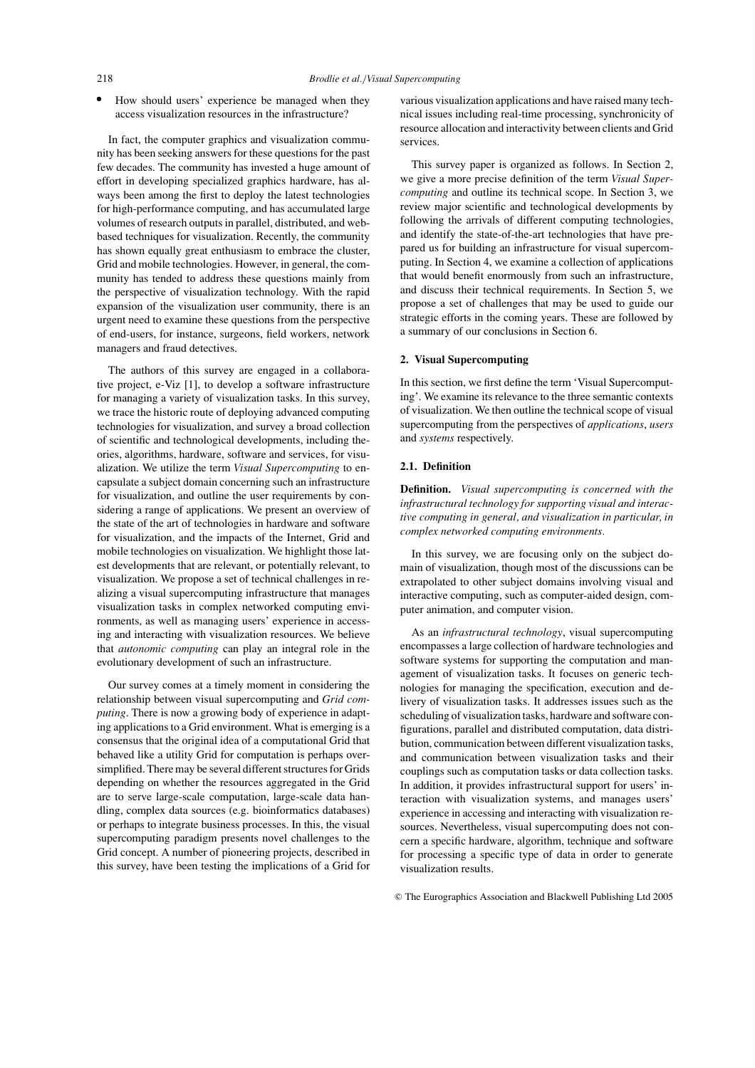How should users' experience be managed when they access visualization resources in the infrastructure?

In fact, the computer graphics and visualization community has been seeking answers for these questions for the past few decades. The community has invested a huge amount of effort in developing specialized graphics hardware, has always been among the first to deploy the latest technologies for high-performance computing, and has accumulated large volumes of research outputs in parallel, distributed, and webbased techniques for visualization. Recently, the community has shown equally great enthusiasm to embrace the cluster, Grid and mobile technologies. However, in general, the community has tended to address these questions mainly from the perspective of visualization technology. With the rapid expansion of the visualization user community, there is an urgent need to examine these questions from the perspective of end-users, for instance, surgeons, field workers, network managers and fraud detectives.

The authors of this survey are engaged in a collaborative project, e-Viz [1], to develop a software infrastructure for managing a variety of visualization tasks. In this survey, we trace the historic route of deploying advanced computing technologies for visualization, and survey a broad collection of scientific and technological developments, including theories, algorithms, hardware, software and services, for visualization. We utilize the term *Visual Supercomputing* to encapsulate a subject domain concerning such an infrastructure for visualization, and outline the user requirements by considering a range of applications. We present an overview of the state of the art of technologies in hardware and software for visualization, and the impacts of the Internet, Grid and mobile technologies on visualization. We highlight those latest developments that are relevant, or potentially relevant, to visualization. We propose a set of technical challenges in realizing a visual supercomputing infrastructure that manages visualization tasks in complex networked computing environments, as well as managing users' experience in accessing and interacting with visualization resources. We believe that *autonomic computing* can play an integral role in the evolutionary development of such an infrastructure.

Our survey comes at a timely moment in considering the relationship between visual supercomputing and *Grid computing*. There is now a growing body of experience in adapting applications to a Grid environment. What is emerging is a consensus that the original idea of a computational Grid that behaved like a utility Grid for computation is perhaps oversimplified. There may be several different structures for Grids depending on whether the resources aggregated in the Grid are to serve large-scale computation, large-scale data handling, complex data sources (e.g. bioinformatics databases) or perhaps to integrate business processes. In this, the visual supercomputing paradigm presents novel challenges to the Grid concept. A number of pioneering projects, described in this survey, have been testing the implications of a Grid for various visualization applications and have raised many technical issues including real-time processing, synchronicity of resource allocation and interactivity between clients and Grid services.

This survey paper is organized as follows. In Section 2, we give a more precise definition of the term *Visual Supercomputing* and outline its technical scope. In Section 3, we review major scientific and technological developments by following the arrivals of different computing technologies, and identify the state-of-the-art technologies that have prepared us for building an infrastructure for visual supercomputing. In Section 4, we examine a collection of applications that would benefit enormously from such an infrastructure, and discuss their technical requirements. In Section 5, we propose a set of challenges that may be used to guide our strategic efforts in the coming years. These are followed by a summary of our conclusions in Section 6.

## **2. Visual Supercomputing**

In this section, we first define the term 'Visual Supercomputing'. We examine its relevance to the three semantic contexts of visualization. We then outline the technical scope of visual supercomputing from the perspectives of *applications*, *users* and *systems* respectively.

## **2.1. Definition**

**Definition.** *Visual supercomputing is concerned with the infrastructural technology for supporting visual and interactive computing in general, and visualization in particular, in complex networked computing environments.*

In this survey, we are focusing only on the subject domain of visualization, though most of the discussions can be extrapolated to other subject domains involving visual and interactive computing, such as computer-aided design, computer animation, and computer vision.

As an *infrastructural technology*, visual supercomputing encompasses a large collection of hardware technologies and software systems for supporting the computation and management of visualization tasks. It focuses on generic technologies for managing the specification, execution and delivery of visualization tasks. It addresses issues such as the scheduling of visualization tasks, hardware and software configurations, parallel and distributed computation, data distribution, communication between different visualization tasks, and communication between visualization tasks and their couplings such as computation tasks or data collection tasks. In addition, it provides infrastructural support for users' interaction with visualization systems, and manages users' experience in accessing and interacting with visualization resources. Nevertheless, visual supercomputing does not concern a specific hardware, algorithm, technique and software for processing a specific type of data in order to generate visualization results.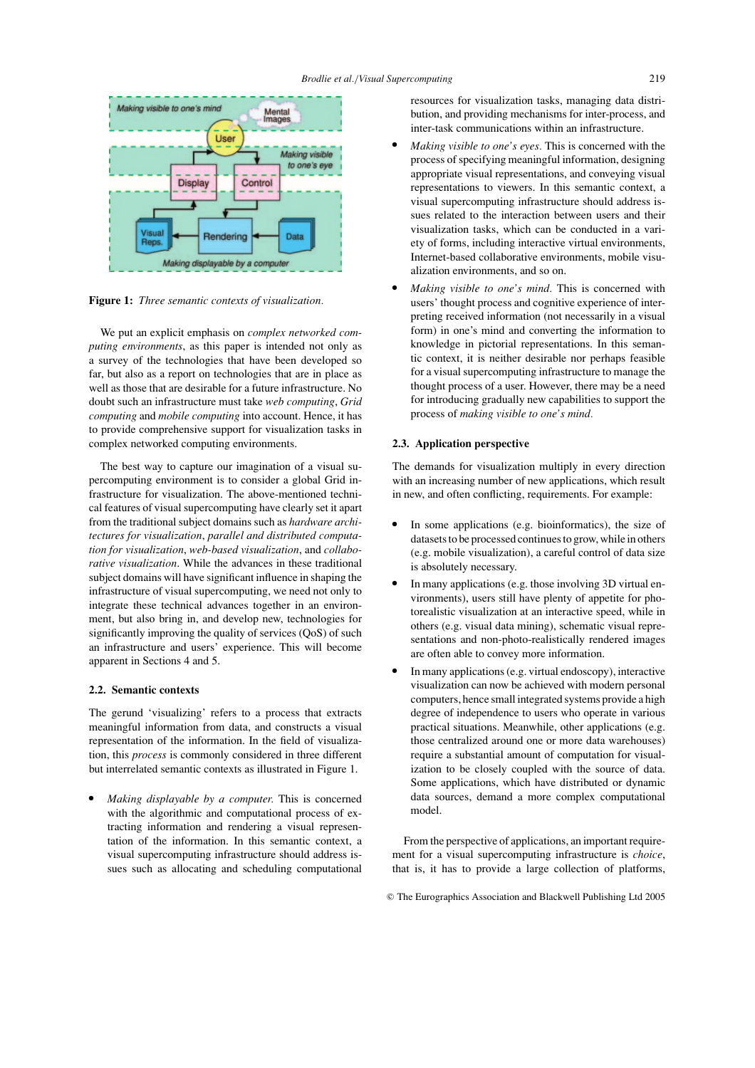

**Figure 1:** *Three semantic contexts of visualization.*

We put an explicit emphasis on *complex networked computing environments*, as this paper is intended not only as a survey of the technologies that have been developed so far, but also as a report on technologies that are in place as well as those that are desirable for a future infrastructure. No doubt such an infrastructure must take *web computing*, *Grid computing* and *mobile computing* into account. Hence, it has to provide comprehensive support for visualization tasks in complex networked computing environments.

The best way to capture our imagination of a visual supercomputing environment is to consider a global Grid infrastructure for visualization. The above-mentioned technical features of visual supercomputing have clearly set it apart from the traditional subject domains such as *hardware architectures for visualization*, *parallel and distributed computation for visualization*, *web-based visualization*, and *collaborative visualization*. While the advances in these traditional subject domains will have significant influence in shaping the infrastructure of visual supercomputing, we need not only to integrate these technical advances together in an environment, but also bring in, and develop new, technologies for significantly improving the quality of services (QoS) of such an infrastructure and users' experience. This will become apparent in Sections 4 and 5.

## **2.2. Semantic contexts**

The gerund 'visualizing' refers to a process that extracts meaningful information from data, and constructs a visual representation of the information. In the field of visualization, this *process* is commonly considered in three different but interrelated semantic contexts as illustrated in Figure 1.

 *Making displayable by a computer.* This is concerned with the algorithmic and computational process of extracting information and rendering a visual representation of the information. In this semantic context, a visual supercomputing infrastructure should address issues such as allocating and scheduling computational

resources for visualization tasks, managing data distribution, and providing mechanisms for inter-process, and inter-task communications within an infrastructure.

- *Making visible to one's eyes.* This is concerned with the process of specifying meaningful information, designing appropriate visual representations, and conveying visual representations to viewers. In this semantic context, a visual supercomputing infrastructure should address issues related to the interaction between users and their visualization tasks, which can be conducted in a variety of forms, including interactive virtual environments, Internet-based collaborative environments, mobile visualization environments, and so on.
- *Making visible to one's mind.* This is concerned with users' thought process and cognitive experience of interpreting received information (not necessarily in a visual form) in one's mind and converting the information to knowledge in pictorial representations. In this semantic context, it is neither desirable nor perhaps feasible for a visual supercomputing infrastructure to manage the thought process of a user. However, there may be a need for introducing gradually new capabilities to support the process of *making visible to one's mind.*

#### **2.3. Application perspective**

The demands for visualization multiply in every direction with an increasing number of new applications, which result in new, and often conflicting, requirements. For example:

- In some applications (e.g. bioinformatics), the size of datasets to be processed continues to grow, while in others (e.g. mobile visualization), a careful control of data size is absolutely necessary.
- In many applications (e.g. those involving 3D virtual environments), users still have plenty of appetite for photorealistic visualization at an interactive speed, while in others (e.g. visual data mining), schematic visual representations and non-photo-realistically rendered images are often able to convey more information.
- In many applications (e.g. virtual endoscopy), interactive visualization can now be achieved with modern personal computers, hence small integrated systems provide a high degree of independence to users who operate in various practical situations. Meanwhile, other applications (e.g. those centralized around one or more data warehouses) require a substantial amount of computation for visualization to be closely coupled with the source of data. Some applications, which have distributed or dynamic data sources, demand a more complex computational model.

From the perspective of applications, an important requirement for a visual supercomputing infrastructure is *choice*, that is, it has to provide a large collection of platforms,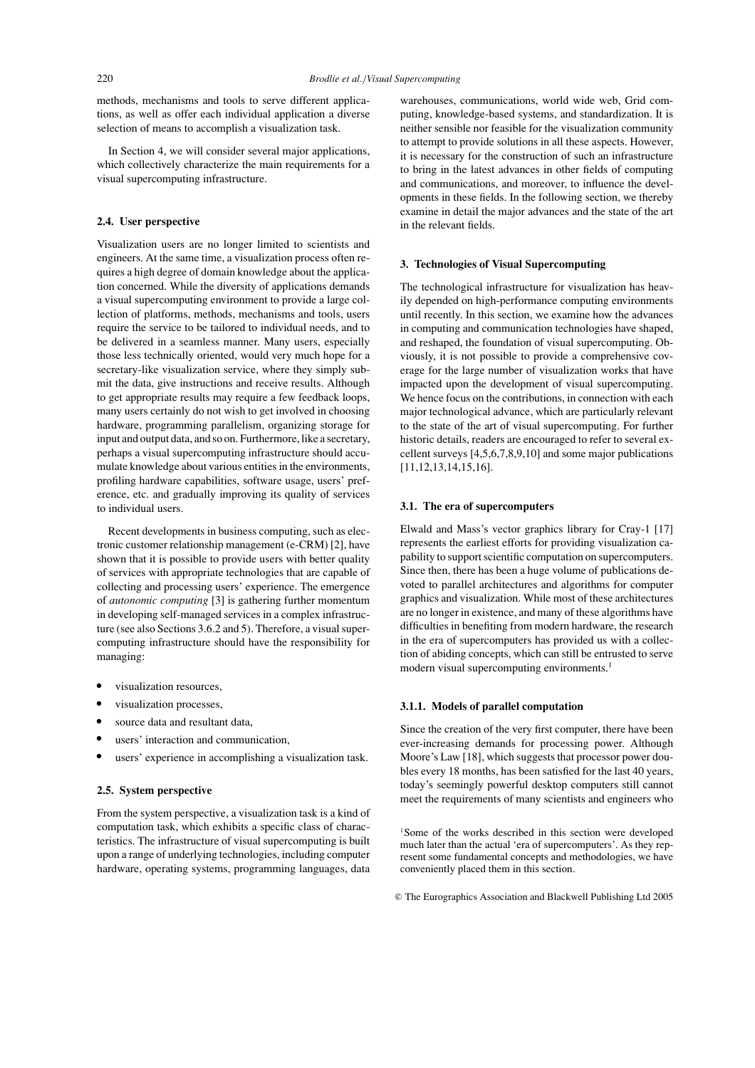methods, mechanisms and tools to serve different applications, as well as offer each individual application a diverse selection of means to accomplish a visualization task.

In Section 4, we will consider several major applications, which collectively characterize the main requirements for a visual supercomputing infrastructure.

## **2.4. User perspective**

Visualization users are no longer limited to scientists and engineers. At the same time, a visualization process often requires a high degree of domain knowledge about the application concerned. While the diversity of applications demands a visual supercomputing environment to provide a large collection of platforms, methods, mechanisms and tools, users require the service to be tailored to individual needs, and to be delivered in a seamless manner. Many users, especially those less technically oriented, would very much hope for a secretary-like visualization service, where they simply submit the data, give instructions and receive results. Although to get appropriate results may require a few feedback loops, many users certainly do not wish to get involved in choosing hardware, programming parallelism, organizing storage for input and output data, and so on. Furthermore, like a secretary, perhaps a visual supercomputing infrastructure should accumulate knowledge about various entities in the environments, profiling hardware capabilities, software usage, users' preference, etc. and gradually improving its quality of services to individual users.

Recent developments in business computing, such as electronic customer relationship management (e-CRM) [2], have shown that it is possible to provide users with better quality of services with appropriate technologies that are capable of collecting and processing users' experience. The emergence of *autonomic computing* [3] is gathering further momentum in developing self-managed services in a complex infrastructure (see also Sections 3.6.2 and 5). Therefore, a visual supercomputing infrastructure should have the responsibility for managing:

- visualization resources,
- visualization processes,
- source data and resultant data,
- users' interaction and communication,
- users' experience in accomplishing a visualization task.

## **2.5. System perspective**

From the system perspective, a visualization task is a kind of computation task, which exhibits a specific class of characteristics. The infrastructure of visual supercomputing is built upon a range of underlying technologies, including computer hardware, operating systems, programming languages, data warehouses, communications, world wide web, Grid computing, knowledge-based systems, and standardization. It is neither sensible nor feasible for the visualization community to attempt to provide solutions in all these aspects. However, it is necessary for the construction of such an infrastructure to bring in the latest advances in other fields of computing and communications, and moreover, to influence the developments in these fields. In the following section, we thereby examine in detail the major advances and the state of the art in the relevant fields.

#### **3. Technologies of Visual Supercomputing**

The technological infrastructure for visualization has heavily depended on high-performance computing environments until recently. In this section, we examine how the advances in computing and communication technologies have shaped, and reshaped, the foundation of visual supercomputing. Obviously, it is not possible to provide a comprehensive coverage for the large number of visualization works that have impacted upon the development of visual supercomputing. We hence focus on the contributions, in connection with each major technological advance, which are particularly relevant to the state of the art of visual supercomputing. For further historic details, readers are encouraged to refer to several excellent surveys [4,5,6,7,8,9,10] and some major publications [11,12,13,14,15,16].

## **3.1. The era of supercomputers**

Elwald and Mass's vector graphics library for Cray-1 [17] represents the earliest efforts for providing visualization capability to support scientific computation on supercomputers. Since then, there has been a huge volume of publications devoted to parallel architectures and algorithms for computer graphics and visualization. While most of these architectures are no longer in existence, and many of these algorithms have difficulties in benefiting from modern hardware, the research in the era of supercomputers has provided us with a collection of abiding concepts, which can still be entrusted to serve modern visual supercomputing environments.<sup>1</sup>

#### **3.1.1. Models of parallel computation**

Since the creation of the very first computer, there have been ever-increasing demands for processing power. Although Moore's Law [18], which suggests that processor power doubles every 18 months, has been satisfied for the last 40 years, today's seemingly powerful desktop computers still cannot meet the requirements of many scientists and engineers who

1 Some of the works described in this section were developed much later than the actual 'era of supercomputers'. As they represent some fundamental concepts and methodologies, we have conveniently placed them in this section.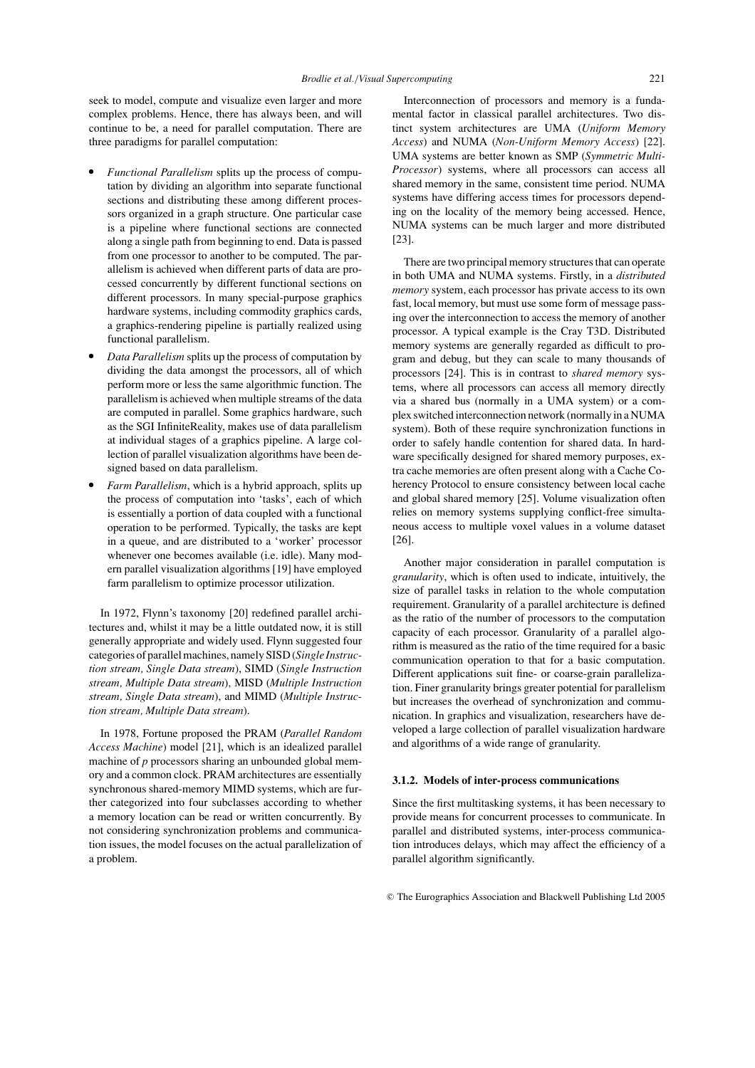seek to model, compute and visualize even larger and more complex problems. Hence, there has always been, and will continue to be, a need for parallel computation. There are three paradigms for parallel computation:

- *Functional Parallelism* splits up the process of computation by dividing an algorithm into separate functional sections and distributing these among different processors organized in a graph structure. One particular case is a pipeline where functional sections are connected along a single path from beginning to end. Data is passed from one processor to another to be computed. The parallelism is achieved when different parts of data are processed concurrently by different functional sections on different processors. In many special-purpose graphics hardware systems, including commodity graphics cards, a graphics-rendering pipeline is partially realized using functional parallelism.
- *Data Parallelism* splits up the process of computation by dividing the data amongst the processors, all of which perform more or less the same algorithmic function. The parallelism is achieved when multiple streams of the data are computed in parallel. Some graphics hardware, such as the SGI InfiniteReality, makes use of data parallelism at individual stages of a graphics pipeline. A large collection of parallel visualization algorithms have been designed based on data parallelism.
- *Farm Parallelism*, which is a hybrid approach, splits up the process of computation into 'tasks', each of which is essentially a portion of data coupled with a functional operation to be performed. Typically, the tasks are kept in a queue, and are distributed to a 'worker' processor whenever one becomes available (i.e. idle). Many modern parallel visualization algorithms [19] have employed farm parallelism to optimize processor utilization.

In 1972, Flynn's taxonomy [20] redefined parallel architectures and, whilst it may be a little outdated now, it is still generally appropriate and widely used. Flynn suggested four categories of parallel machines, namely SISD (*Single Instruction stream, Single Data stream*), SIMD (*Single Instruction stream, Multiple Data stream*), MISD (*Multiple Instruction stream, Single Data stream*), and MIMD (*Multiple Instruction stream, Multiple Data stream*).

In 1978, Fortune proposed the PRAM (*Parallel Random Access Machine*) model [21], which is an idealized parallel machine of *p* processors sharing an unbounded global memory and a common clock. PRAM architectures are essentially synchronous shared-memory MIMD systems, which are further categorized into four subclasses according to whether a memory location can be read or written concurrently. By not considering synchronization problems and communication issues, the model focuses on the actual parallelization of a problem.

Interconnection of processors and memory is a fundamental factor in classical parallel architectures. Two distinct system architectures are UMA (*Uniform Memory Access*) and NUMA (*Non-Uniform Memory Access*) [22]. UMA systems are better known as SMP (*Symmetric Multi-Processor*) systems, where all processors can access all shared memory in the same, consistent time period. NUMA systems have differing access times for processors depending on the locality of the memory being accessed. Hence, NUMA systems can be much larger and more distributed [23].

There are two principal memory structures that can operate in both UMA and NUMA systems. Firstly, in a *distributed memory* system, each processor has private access to its own fast, local memory, but must use some form of message passing over the interconnection to access the memory of another processor. A typical example is the Cray T3D. Distributed memory systems are generally regarded as difficult to program and debug, but they can scale to many thousands of processors [24]. This is in contrast to *shared memory* systems, where all processors can access all memory directly via a shared bus (normally in a UMA system) or a complex switched interconnection network (normally in a NUMA system). Both of these require synchronization functions in order to safely handle contention for shared data. In hardware specifically designed for shared memory purposes, extra cache memories are often present along with a Cache Coherency Protocol to ensure consistency between local cache and global shared memory [25]. Volume visualization often relies on memory systems supplying conflict-free simultaneous access to multiple voxel values in a volume dataset [26].

Another major consideration in parallel computation is *granularity*, which is often used to indicate, intuitively, the size of parallel tasks in relation to the whole computation requirement. Granularity of a parallel architecture is defined as the ratio of the number of processors to the computation capacity of each processor. Granularity of a parallel algorithm is measured as the ratio of the time required for a basic communication operation to that for a basic computation. Different applications suit fine- or coarse-grain parallelization. Finer granularity brings greater potential for parallelism but increases the overhead of synchronization and communication. In graphics and visualization, researchers have developed a large collection of parallel visualization hardware and algorithms of a wide range of granularity.

#### **3.1.2. Models of inter-process communications**

Since the first multitasking systems, it has been necessary to provide means for concurrent processes to communicate. In parallel and distributed systems, inter-process communication introduces delays, which may affect the efficiency of a parallel algorithm significantly.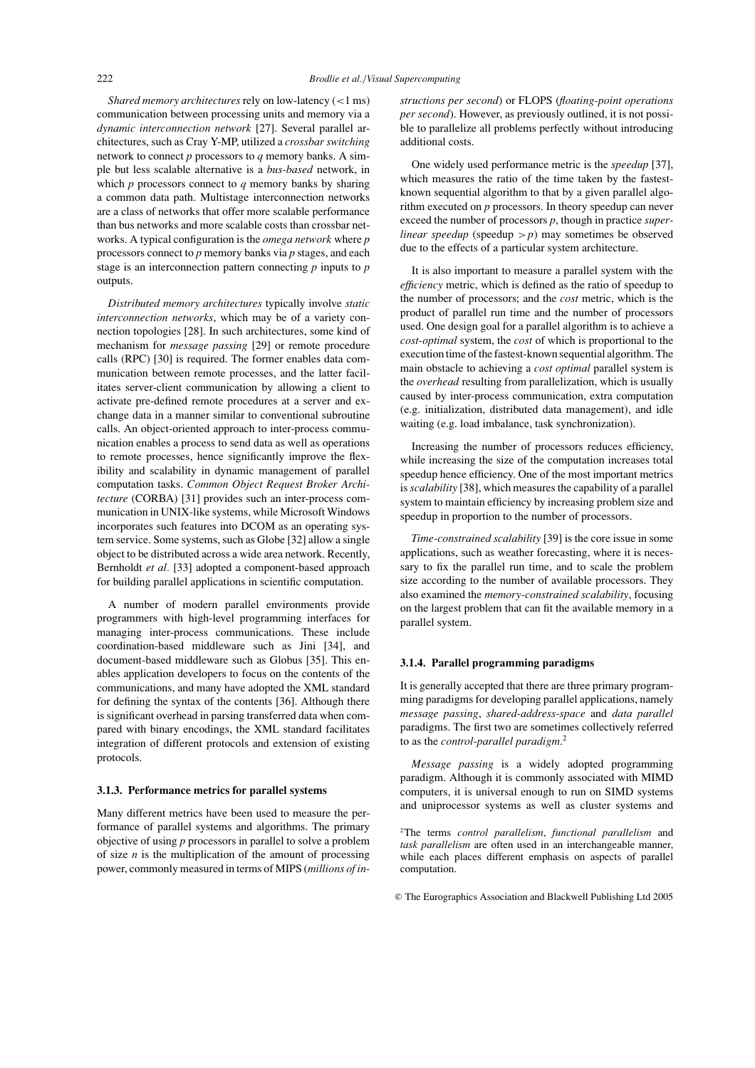*Shared memory architectures* rely on low-latency (<1 ms) communication between processing units and memory via a *dynamic interconnection network* [27]. Several parallel architectures, such as Cray Y-MP, utilized a *crossbar switching* network to connect *p* processors to *q* memory banks. A simple but less scalable alternative is a *bus-based* network, in which *p* processors connect to *q* memory banks by sharing a common data path. Multistage interconnection networks are a class of networks that offer more scalable performance than bus networks and more scalable costs than crossbar networks. A typical configuration is the *omega network* where *p* processors connect to *p* memory banks via *p* stages, and each stage is an interconnection pattern connecting *p* inputs to *p* outputs.

*Distributed memory architectures* typically involve *static interconnection networks*, which may be of a variety connection topologies [28]. In such architectures, some kind of mechanism for *message passing* [29] or remote procedure calls (RPC) [30] is required. The former enables data communication between remote processes, and the latter facilitates server-client communication by allowing a client to activate pre-defined remote procedures at a server and exchange data in a manner similar to conventional subroutine calls. An object-oriented approach to inter-process communication enables a process to send data as well as operations to remote processes, hence significantly improve the flexibility and scalability in dynamic management of parallel computation tasks. *Common Object Request Broker Architecture* (CORBA) [31] provides such an inter-process communication in UNIX-like systems, while Microsoft Windows incorporates such features into DCOM as an operating system service. Some systems, such as Globe [32] allow a single object to be distributed across a wide area network. Recently, Bernholdt *et al.* [33] adopted a component-based approach for building parallel applications in scientific computation.

A number of modern parallel environments provide programmers with high-level programming interfaces for managing inter-process communications. These include coordination-based middleware such as Jini [34], and document-based middleware such as Globus [35]. This enables application developers to focus on the contents of the communications, and many have adopted the XML standard for defining the syntax of the contents [36]. Although there is significant overhead in parsing transferred data when compared with binary encodings, the XML standard facilitates integration of different protocols and extension of existing protocols.

#### **3.1.3. Performance metrics for parallel systems**

Many different metrics have been used to measure the performance of parallel systems and algorithms. The primary objective of using *p* processors in parallel to solve a problem of size *n* is the multiplication of the amount of processing power, commonly measured in terms of MIPS (*millions of in-* *structions per second*) or FLOPS (*floating-point operations per second*). However, as previously outlined, it is not possible to parallelize all problems perfectly without introducing additional costs.

One widely used performance metric is the *speedup* [37], which measures the ratio of the time taken by the fastestknown sequential algorithm to that by a given parallel algorithm executed on *p* processors. In theory speedup can never exceed the number of processors *p*, though in practice *superlinear speedup* (speedup  $> p$ ) may sometimes be observed due to the effects of a particular system architecture.

It is also important to measure a parallel system with the *efficiency* metric, which is defined as the ratio of speedup to the number of processors; and the *cost* metric, which is the product of parallel run time and the number of processors used. One design goal for a parallel algorithm is to achieve a *cost-optimal* system, the *cost* of which is proportional to the execution time of the fastest-known sequential algorithm. The main obstacle to achieving a *cost optimal* parallel system is the *overhead* resulting from parallelization, which is usually caused by inter-process communication, extra computation (e.g. initialization, distributed data management), and idle waiting (e.g. load imbalance, task synchronization).

Increasing the number of processors reduces efficiency, while increasing the size of the computation increases total speedup hence efficiency. One of the most important metrics is*scalability* [38], which measures the capability of a parallel system to maintain efficiency by increasing problem size and speedup in proportion to the number of processors.

*Time-constrained scalability* [39] is the core issue in some applications, such as weather forecasting, where it is necessary to fix the parallel run time, and to scale the problem size according to the number of available processors. They also examined the *memory-constrained scalability*, focusing on the largest problem that can fit the available memory in a parallel system.

## **3.1.4. Parallel programming paradigms**

It is generally accepted that there are three primary programming paradigms for developing parallel applications, namely *message passing*, *shared-address-space* and *data parallel* paradigms. The first two are sometimes collectively referred to as the *control-parallel paradigm*. 2

*Message passing* is a widely adopted programming paradigm. Although it is commonly associated with MIMD computers, it is universal enough to run on SIMD systems and uniprocessor systems as well as cluster systems and

2 The terms *control parallelism*, *functional parallelism* and *task parallelism* are often used in an interchangeable manner, while each places different emphasis on aspects of parallel computation.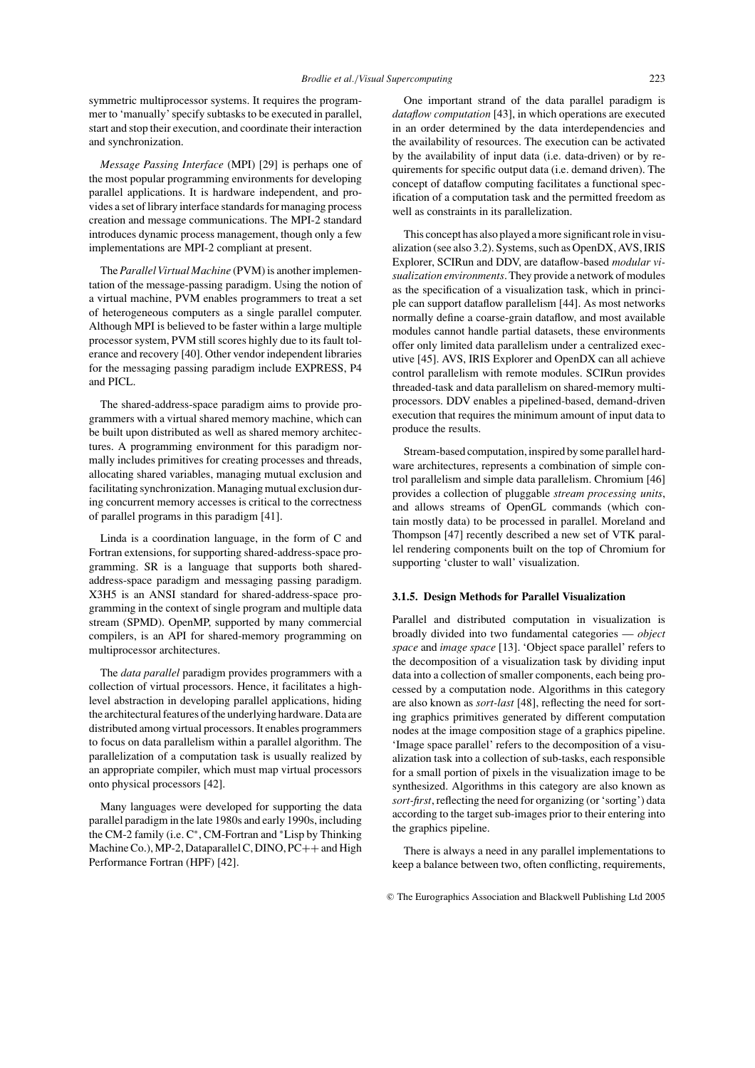symmetric multiprocessor systems. It requires the programmer to 'manually' specify subtasks to be executed in parallel, start and stop their execution, and coordinate their interaction and synchronization.

*Message Passing Interface* (MPI) [29] is perhaps one of the most popular programming environments for developing parallel applications. It is hardware independent, and provides a set of library interface standards for managing process creation and message communications. The MPI-2 standard introduces dynamic process management, though only a few implementations are MPI-2 compliant at present.

The *Parallel Virtual Machine* (PVM) is another implementation of the message-passing paradigm. Using the notion of a virtual machine, PVM enables programmers to treat a set of heterogeneous computers as a single parallel computer. Although MPI is believed to be faster within a large multiple processor system, PVM still scores highly due to its fault tolerance and recovery [40]. Other vendor independent libraries for the messaging passing paradigm include EXPRESS, P4 and PICL.

The shared-address-space paradigm aims to provide programmers with a virtual shared memory machine, which can be built upon distributed as well as shared memory architectures. A programming environment for this paradigm normally includes primitives for creating processes and threads, allocating shared variables, managing mutual exclusion and facilitating synchronization. Managing mutual exclusion during concurrent memory accesses is critical to the correctness of parallel programs in this paradigm [41].

Linda is a coordination language, in the form of C and Fortran extensions, for supporting shared-address-space programming. SR is a language that supports both sharedaddress-space paradigm and messaging passing paradigm. X3H5 is an ANSI standard for shared-address-space programming in the context of single program and multiple data stream (SPMD). OpenMP, supported by many commercial compilers, is an API for shared-memory programming on multiprocessor architectures.

The *data parallel* paradigm provides programmers with a collection of virtual processors. Hence, it facilitates a highlevel abstraction in developing parallel applications, hiding the architectural features of the underlying hardware. Data are distributed among virtual processors. It enables programmers to focus on data parallelism within a parallel algorithm. The parallelization of a computation task is usually realized by an appropriate compiler, which must map virtual processors onto physical processors [42].

Many languages were developed for supporting the data parallel paradigm in the late 1980s and early 1990s, including the CM-2 family (i.e. C∗, CM-Fortran and <sup>∗</sup>Lisp by Thinking Machine Co.), MP-2, Dataparallel C, DINO, PC++ and High Performance Fortran (HPF) [42].

One important strand of the data parallel paradigm is *dataflow computation* [43], in which operations are executed in an order determined by the data interdependencies and the availability of resources. The execution can be activated by the availability of input data (i.e. data-driven) or by requirements for specific output data (i.e. demand driven). The concept of dataflow computing facilitates a functional specification of a computation task and the permitted freedom as well as constraints in its parallelization.

This concept has also played a more significant role in visualization (see also 3.2). Systems, such as OpenDX, AVS, IRIS Explorer, SCIRun and DDV, are dataflow-based *modular visualization environments*. They provide a network of modules as the specification of a visualization task, which in principle can support dataflow parallelism [44]. As most networks normally define a coarse-grain dataflow, and most available modules cannot handle partial datasets, these environments offer only limited data parallelism under a centralized executive [45]. AVS, IRIS Explorer and OpenDX can all achieve control parallelism with remote modules. SCIRun provides threaded-task and data parallelism on shared-memory multiprocessors. DDV enables a pipelined-based, demand-driven execution that requires the minimum amount of input data to produce the results.

Stream-based computation, inspired by some parallel hardware architectures, represents a combination of simple control parallelism and simple data parallelism. Chromium [46] provides a collection of pluggable *stream processing units*, and allows streams of OpenGL commands (which contain mostly data) to be processed in parallel. Moreland and Thompson [47] recently described a new set of VTK parallel rendering components built on the top of Chromium for supporting 'cluster to wall' visualization.

#### **3.1.5. Design Methods for Parallel Visualization**

Parallel and distributed computation in visualization is broadly divided into two fundamental categories — *object space* and *image space* [13]. 'Object space parallel' refers to the decomposition of a visualization task by dividing input data into a collection of smaller components, each being processed by a computation node. Algorithms in this category are also known as *sort-last* [48], reflecting the need for sorting graphics primitives generated by different computation nodes at the image composition stage of a graphics pipeline. 'Image space parallel' refers to the decomposition of a visualization task into a collection of sub-tasks, each responsible for a small portion of pixels in the visualization image to be synthesized. Algorithms in this category are also known as *sort-first*, reflecting the need for organizing (or 'sorting') data according to the target sub-images prior to their entering into the graphics pipeline.

There is always a need in any parallel implementations to keep a balance between two, often conflicting, requirements,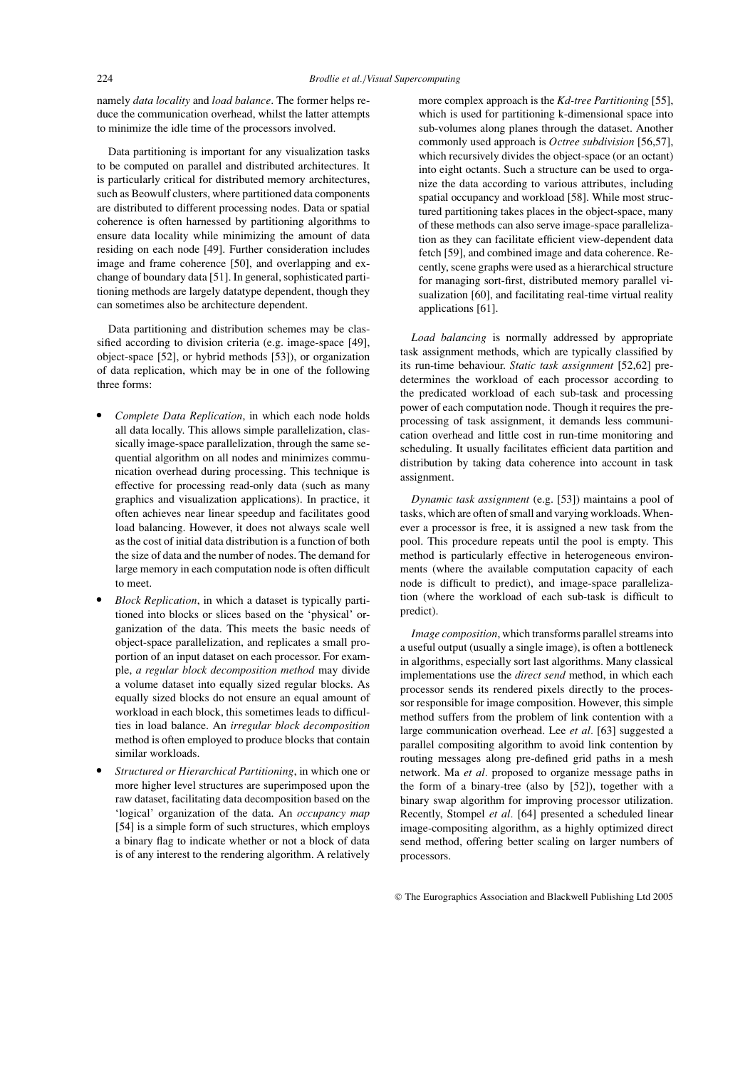namely *data locality* and *load balance*. The former helps reduce the communication overhead, whilst the latter attempts to minimize the idle time of the processors involved.

Data partitioning is important for any visualization tasks to be computed on parallel and distributed architectures. It is particularly critical for distributed memory architectures, such as Beowulf clusters, where partitioned data components are distributed to different processing nodes. Data or spatial coherence is often harnessed by partitioning algorithms to ensure data locality while minimizing the amount of data residing on each node [49]. Further consideration includes image and frame coherence [50], and overlapping and exchange of boundary data [51]. In general, sophisticated partitioning methods are largely datatype dependent, though they can sometimes also be architecture dependent.

Data partitioning and distribution schemes may be classified according to division criteria (e.g. image-space [49], object-space [52], or hybrid methods [53]), or organization of data replication, which may be in one of the following three forms:

- *Complete Data Replication*, in which each node holds all data locally. This allows simple parallelization, classically image-space parallelization, through the same sequential algorithm on all nodes and minimizes communication overhead during processing. This technique is effective for processing read-only data (such as many graphics and visualization applications). In practice, it often achieves near linear speedup and facilitates good load balancing. However, it does not always scale well as the cost of initial data distribution is a function of both the size of data and the number of nodes. The demand for large memory in each computation node is often difficult to meet.
- *Block Replication*, in which a dataset is typically partitioned into blocks or slices based on the 'physical' organization of the data. This meets the basic needs of object-space parallelization, and replicates a small proportion of an input dataset on each processor. For example, *a regular block decomposition method* may divide a volume dataset into equally sized regular blocks. As equally sized blocks do not ensure an equal amount of workload in each block, this sometimes leads to difficulties in load balance. An *irregular block decomposition* method is often employed to produce blocks that contain similar workloads.
- *Structured or Hierarchical Partitioning*, in which one or more higher level structures are superimposed upon the raw dataset, facilitating data decomposition based on the 'logical' organization of the data. An *occupancy map* [54] is a simple form of such structures, which employs a binary flag to indicate whether or not a block of data is of any interest to the rendering algorithm. A relatively

more complex approach is the *Kd-tree Partitioning* [55], which is used for partitioning k-dimensional space into sub-volumes along planes through the dataset. Another commonly used approach is *Octree subdivision* [56,57], which recursively divides the object-space (or an octant) into eight octants. Such a structure can be used to organize the data according to various attributes, including spatial occupancy and workload [58]. While most structured partitioning takes places in the object-space, many of these methods can also serve image-space parallelization as they can facilitate efficient view-dependent data fetch [59], and combined image and data coherence. Recently, scene graphs were used as a hierarchical structure for managing sort-first, distributed memory parallel visualization [60], and facilitating real-time virtual reality applications [61].

*Load balancing* is normally addressed by appropriate task assignment methods, which are typically classified by its run-time behaviour. *Static task assignment* [52,62] predetermines the workload of each processor according to the predicated workload of each sub-task and processing power of each computation node. Though it requires the preprocessing of task assignment, it demands less communication overhead and little cost in run-time monitoring and scheduling. It usually facilitates efficient data partition and distribution by taking data coherence into account in task assignment.

*Dynamic task assignment* (e.g. [53]) maintains a pool of tasks, which are often of small and varying workloads. Whenever a processor is free, it is assigned a new task from the pool. This procedure repeats until the pool is empty. This method is particularly effective in heterogeneous environments (where the available computation capacity of each node is difficult to predict), and image-space parallelization (where the workload of each sub-task is difficult to predict).

*Image composition*, which transforms parallel streams into a useful output (usually a single image), is often a bottleneck in algorithms, especially sort last algorithms. Many classical implementations use the *direct send* method, in which each processor sends its rendered pixels directly to the processor responsible for image composition. However, this simple method suffers from the problem of link contention with a large communication overhead. Lee *et al.* [63] suggested a parallel compositing algorithm to avoid link contention by routing messages along pre-defined grid paths in a mesh network. Ma *et al.* proposed to organize message paths in the form of a binary-tree (also by [52]), together with a binary swap algorithm for improving processor utilization. Recently, Stompel *et al.* [64] presented a scheduled linear image-compositing algorithm, as a highly optimized direct send method, offering better scaling on larger numbers of processors.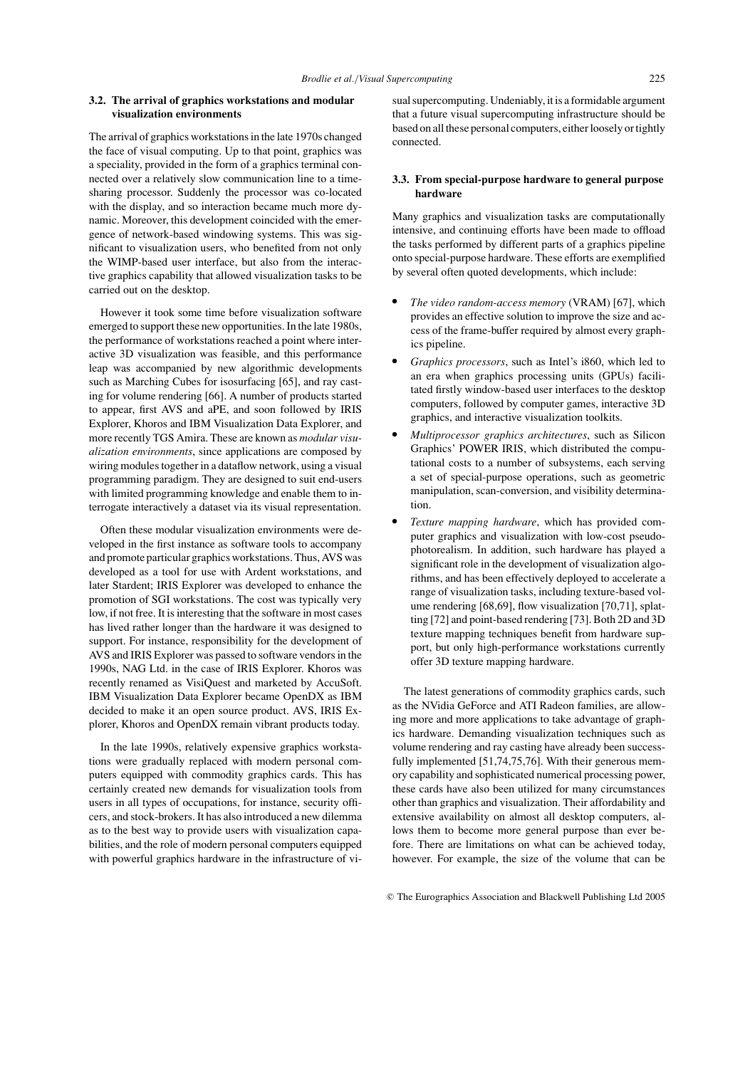## **3.2. The arrival of graphics workstations and modular visualization environments**

The arrival of graphics workstations in the late 1970s changed the face of visual computing. Up to that point, graphics was a speciality, provided in the form of a graphics terminal connected over a relatively slow communication line to a timesharing processor. Suddenly the processor was co-located with the display, and so interaction became much more dynamic. Moreover, this development coincided with the emergence of network-based windowing systems. This was significant to visualization users, who benefited from not only the WIMP-based user interface, but also from the interactive graphics capability that allowed visualization tasks to be carried out on the desktop.

However it took some time before visualization software emerged to support these new opportunities. In the late 1980s, the performance of workstations reached a point where interactive 3D visualization was feasible, and this performance leap was accompanied by new algorithmic developments such as Marching Cubes for isosurfacing [65], and ray casting for volume rendering [66]. A number of products started to appear, first AVS and aPE, and soon followed by IRIS Explorer, Khoros and IBM Visualization Data Explorer, and more recently TGS Amira. These are known as *modular visualization environments*, since applications are composed by wiring modules together in a dataflow network, using a visual programming paradigm. They are designed to suit end-users with limited programming knowledge and enable them to interrogate interactively a dataset via its visual representation.

Often these modular visualization environments were developed in the first instance as software tools to accompany and promote particular graphics workstations. Thus, AVS was developed as a tool for use with Ardent workstations, and later Stardent; IRIS Explorer was developed to enhance the promotion of SGI workstations. The cost was typically very low, if not free. It is interesting that the software in most cases has lived rather longer than the hardware it was designed to support. For instance, responsibility for the development of AVS and IRIS Explorer was passed to software vendors in the 1990s, NAG Ltd. in the case of IRIS Explorer. Khoros was recently renamed as VisiQuest and marketed by AccuSoft. IBM Visualization Data Explorer became OpenDX as IBM decided to make it an open source product. AVS, IRIS Explorer, Khoros and OpenDX remain vibrant products today.

In the late 1990s, relatively expensive graphics workstations were gradually replaced with modern personal computers equipped with commodity graphics cards. This has certainly created new demands for visualization tools from users in all types of occupations, for instance, security officers, and stock-brokers. It has also introduced a new dilemma as to the best way to provide users with visualization capabilities, and the role of modern personal computers equipped with powerful graphics hardware in the infrastructure of vi-

sual supercomputing. Undeniably, it is a formidable argument that a future visual supercomputing infrastructure should be based on all these personal computers, either loosely or tightly connected.

## **3.3. From special-purpose hardware to general purpose hardware**

Many graphics and visualization tasks are computationally intensive, and continuing efforts have been made to offload the tasks performed by different parts of a graphics pipeline onto special-purpose hardware. These efforts are exemplified by several often quoted developments, which include:

- *The video random-access memory* (VRAM) [67], which provides an effective solution to improve the size and access of the frame-buffer required by almost every graphics pipeline.
- *Graphics processors*, such as Intel's i860, which led to an era when graphics processing units (GPUs) facilitated firstly window-based user interfaces to the desktop computers, followed by computer games, interactive 3D graphics, and interactive visualization toolkits.
- *Multiprocessor graphics architectures*, such as Silicon Graphics' POWER IRIS, which distributed the computational costs to a number of subsystems, each serving a set of special-purpose operations, such as geometric manipulation, scan-conversion, and visibility determination.
- *Texture mapping hardware*, which has provided computer graphics and visualization with low-cost pseudophotorealism. In addition, such hardware has played a significant role in the development of visualization algorithms, and has been effectively deployed to accelerate a range of visualization tasks, including texture-based volume rendering [68,69], flow visualization [70,71], splatting [72] and point-based rendering [73]. Both 2D and 3D texture mapping techniques benefit from hardware support, but only high-performance workstations currently offer 3D texture mapping hardware.

The latest generations of commodity graphics cards, such as the NVidia GeForce and ATI Radeon families, are allowing more and more applications to take advantage of graphics hardware. Demanding visualization techniques such as volume rendering and ray casting have already been successfully implemented [51,74,75,76]. With their generous memory capability and sophisticated numerical processing power, these cards have also been utilized for many circumstances other than graphics and visualization. Their affordability and extensive availability on almost all desktop computers, allows them to become more general purpose than ever before. There are limitations on what can be achieved today, however. For example, the size of the volume that can be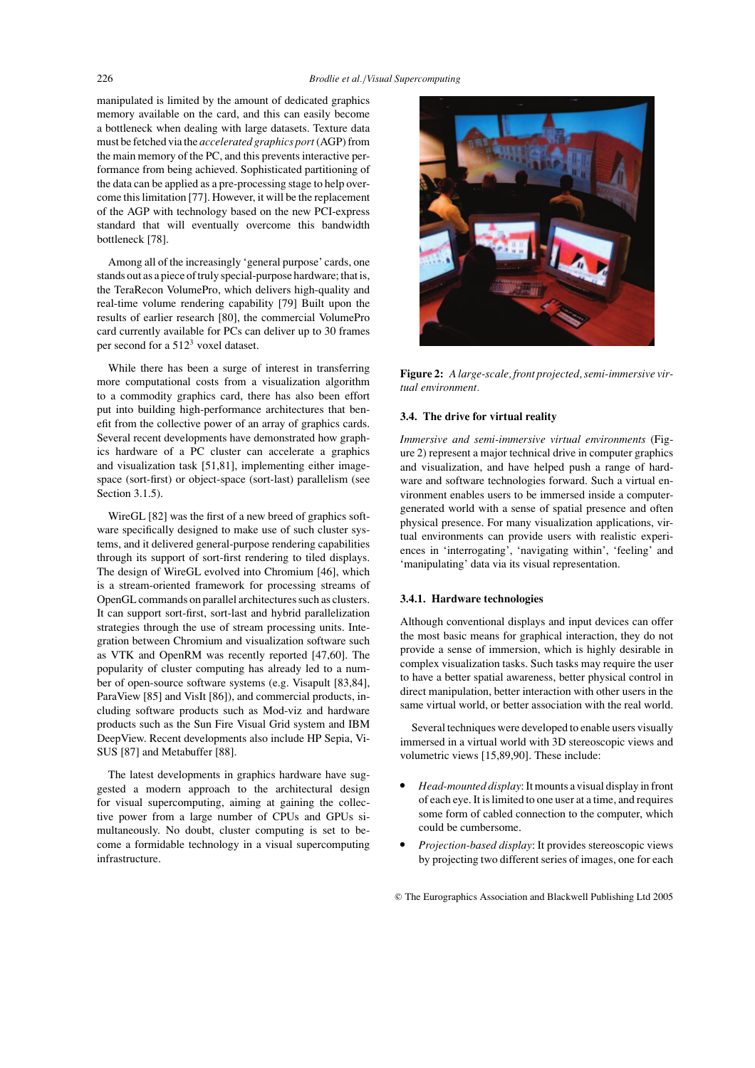manipulated is limited by the amount of dedicated graphics memory available on the card, and this can easily become a bottleneck when dealing with large datasets. Texture data must be fetched via the *accelerated graphics port* (AGP) from the main memory of the PC, and this prevents interactive performance from being achieved. Sophisticated partitioning of the data can be applied as a pre-processing stage to help overcome this limitation [77]. However, it will be the replacement of the AGP with technology based on the new PCI-express standard that will eventually overcome this bandwidth bottleneck [78].

Among all of the increasingly 'general purpose' cards, one stands out as a piece of truly special-purpose hardware; that is, the TeraRecon VolumePro, which delivers high-quality and real-time volume rendering capability [79] Built upon the results of earlier research [80], the commercial VolumePro card currently available for PCs can deliver up to 30 frames per second for a 5123 voxel dataset.

While there has been a surge of interest in transferring more computational costs from a visualization algorithm to a commodity graphics card, there has also been effort put into building high-performance architectures that benefit from the collective power of an array of graphics cards. Several recent developments have demonstrated how graphics hardware of a PC cluster can accelerate a graphics and visualization task [51,81], implementing either imagespace (sort-first) or object-space (sort-last) parallelism (see Section 3.1.5).

WireGL [82] was the first of a new breed of graphics software specifically designed to make use of such cluster systems, and it delivered general-purpose rendering capabilities through its support of sort-first rendering to tiled displays. The design of WireGL evolved into Chromium [46], which is a stream-oriented framework for processing streams of OpenGL commands on parallel architectures such as clusters. It can support sort-first, sort-last and hybrid parallelization strategies through the use of stream processing units. Integration between Chromium and visualization software such as VTK and OpenRM was recently reported [47,60]. The popularity of cluster computing has already led to a number of open-source software systems (e.g. Visapult [83,84], ParaView [85] and VisIt [86]), and commercial products, including software products such as Mod-viz and hardware products such as the Sun Fire Visual Grid system and IBM DeepView. Recent developments also include HP Sepia, Vi-SUS [87] and Metabuffer [88].

The latest developments in graphics hardware have suggested a modern approach to the architectural design for visual supercomputing, aiming at gaining the collective power from a large number of CPUs and GPUs simultaneously. No doubt, cluster computing is set to become a formidable technology in a visual supercomputing infrastructure.



**Figure 2:** *A large-scale, front projected, semi-immersive virtual environment.*

## **3.4. The drive for virtual reality**

*Immersive and semi-immersive virtual environments* (Figure 2) represent a major technical drive in computer graphics and visualization, and have helped push a range of hardware and software technologies forward. Such a virtual environment enables users to be immersed inside a computergenerated world with a sense of spatial presence and often physical presence. For many visualization applications, virtual environments can provide users with realistic experiences in 'interrogating', 'navigating within', 'feeling' and 'manipulating' data via its visual representation.

### **3.4.1. Hardware technologies**

Although conventional displays and input devices can offer the most basic means for graphical interaction, they do not provide a sense of immersion, which is highly desirable in complex visualization tasks. Such tasks may require the user to have a better spatial awareness, better physical control in direct manipulation, better interaction with other users in the same virtual world, or better association with the real world.

Several techniques were developed to enable users visually immersed in a virtual world with 3D stereoscopic views and volumetric views [15,89,90]. These include:

- *Head-mounted display*: It mounts a visual display in front of each eye. It is limited to one user at a time, and requires some form of cabled connection to the computer, which could be cumbersome.
- *Projection-based display*: It provides stereoscopic views by projecting two different series of images, one for each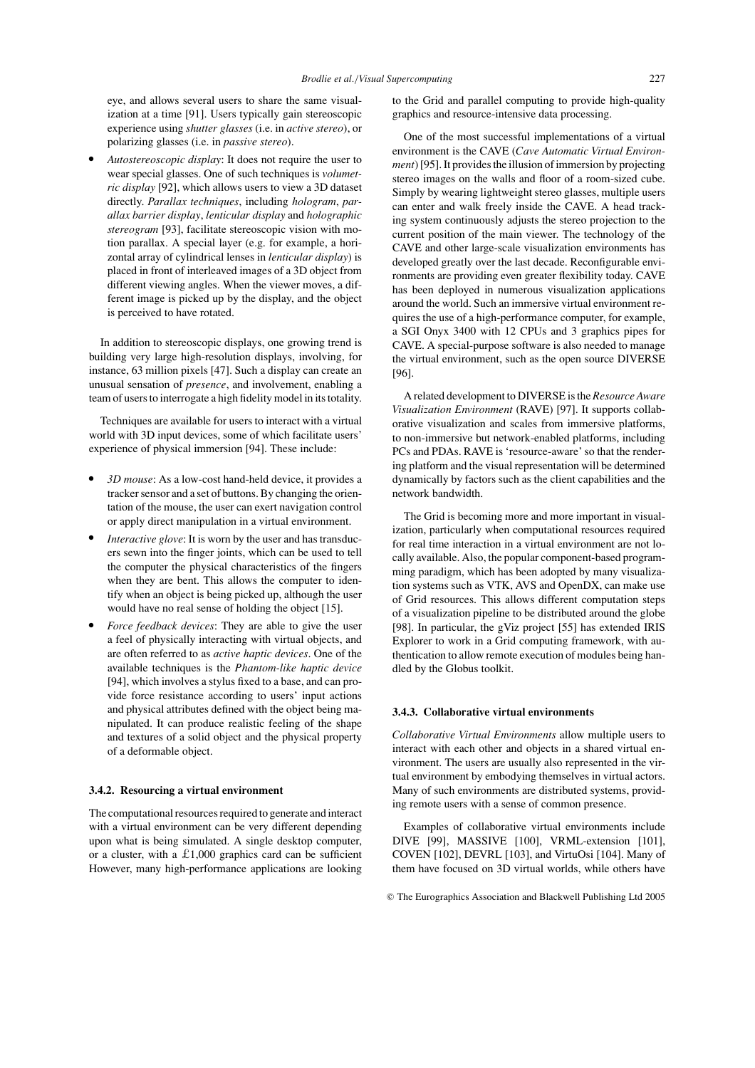eye, and allows several users to share the same visualization at a time [91]. Users typically gain stereoscopic experience using *shutter glasses* (i.e. in *active stereo*), or polarizing glasses (i.e. in *passive stereo*).

 *Autostereoscopic display*: It does not require the user to wear special glasses. One of such techniques is *volumetric display* [92], which allows users to view a 3D dataset directly. *Parallax techniques*, including *hologram*, *parallax barrier display*, *lenticular display* and *holographic stereogram* [93], facilitate stereoscopic vision with motion parallax. A special layer (e.g. for example, a horizontal array of cylindrical lenses in *lenticular display*) is placed in front of interleaved images of a 3D object from different viewing angles. When the viewer moves, a different image is picked up by the display, and the object is perceived to have rotated.

In addition to stereoscopic displays, one growing trend is building very large high-resolution displays, involving, for instance, 63 million pixels [47]. Such a display can create an unusual sensation of *presence*, and involvement, enabling a team of users to interrogate a high fidelity model in its totality.

Techniques are available for users to interact with a virtual world with 3D input devices, some of which facilitate users' experience of physical immersion [94]. These include:

- *3D mouse*: As a low-cost hand-held device, it provides a tracker sensor and a set of buttons. By changing the orientation of the mouse, the user can exert navigation control or apply direct manipulation in a virtual environment.
- *Interactive glove*: It is worn by the user and has transducers sewn into the finger joints, which can be used to tell the computer the physical characteristics of the fingers when they are bent. This allows the computer to identify when an object is being picked up, although the user would have no real sense of holding the object [15].
- *Force feedback devices*: They are able to give the user a feel of physically interacting with virtual objects, and are often referred to as *active haptic devices*. One of the available techniques is the *Phantom-like haptic device* [94], which involves a stylus fixed to a base, and can provide force resistance according to users' input actions and physical attributes defined with the object being manipulated. It can produce realistic feeling of the shape and textures of a solid object and the physical property of a deformable object.

## **3.4.2. Resourcing a virtual environment**

The computational resources required to generate and interact with a virtual environment can be very different depending upon what is being simulated. A single desktop computer, or a cluster, with a £1,000 graphics card can be sufficient However, many high-performance applications are looking

to the Grid and parallel computing to provide high-quality graphics and resource-intensive data processing.

One of the most successful implementations of a virtual environment is the CAVE (*Cave Automatic Virtual Environment*) [95]. It provides the illusion of immersion by projecting stereo images on the walls and floor of a room-sized cube. Simply by wearing lightweight stereo glasses, multiple users can enter and walk freely inside the CAVE. A head tracking system continuously adjusts the stereo projection to the current position of the main viewer. The technology of the CAVE and other large-scale visualization environments has developed greatly over the last decade. Reconfigurable environments are providing even greater flexibility today. CAVE has been deployed in numerous visualization applications around the world. Such an immersive virtual environment requires the use of a high-performance computer, for example, a SGI Onyx 3400 with 12 CPUs and 3 graphics pipes for CAVE. A special-purpose software is also needed to manage the virtual environment, such as the open source DIVERSE [96].

A related development to DIVERSE is the *Resource Aware Visualization Environment* (RAVE) [97]. It supports collaborative visualization and scales from immersive platforms, to non-immersive but network-enabled platforms, including PCs and PDAs. RAVE is 'resource-aware' so that the rendering platform and the visual representation will be determined dynamically by factors such as the client capabilities and the network bandwidth.

The Grid is becoming more and more important in visualization, particularly when computational resources required for real time interaction in a virtual environment are not locally available. Also, the popular component-based programming paradigm, which has been adopted by many visualization systems such as VTK, AVS and OpenDX, can make use of Grid resources. This allows different computation steps of a visualization pipeline to be distributed around the globe [98]. In particular, the gViz project [55] has extended IRIS Explorer to work in a Grid computing framework, with authentication to allow remote execution of modules being handled by the Globus toolkit.

## **3.4.3. Collaborative virtual environments**

*Collaborative Virtual Environments* allow multiple users to interact with each other and objects in a shared virtual environment. The users are usually also represented in the virtual environment by embodying themselves in virtual actors. Many of such environments are distributed systems, providing remote users with a sense of common presence.

Examples of collaborative virtual environments include DIVE [99], MASSIVE [100], VRML-extension [101], COVEN [102], DEVRL [103], and VirtuOsi [104]. Many of them have focused on 3D virtual worlds, while others have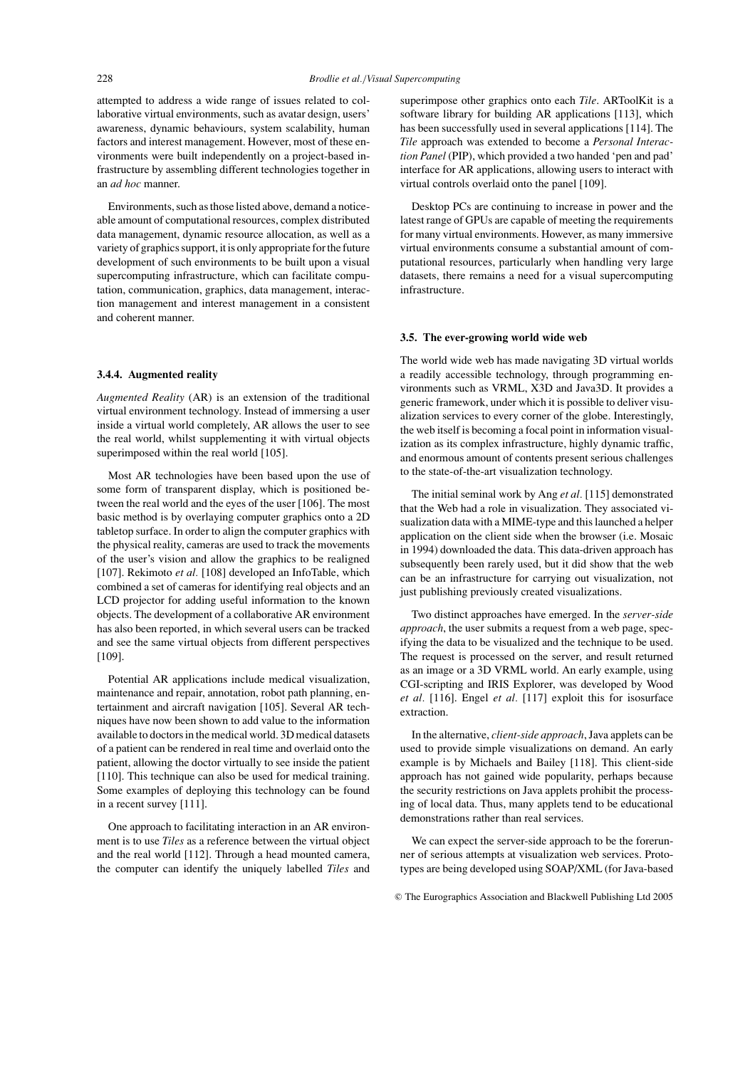attempted to address a wide range of issues related to collaborative virtual environments, such as avatar design, users' awareness, dynamic behaviours, system scalability, human factors and interest management. However, most of these environments were built independently on a project-based infrastructure by assembling different technologies together in an *ad hoc* manner.

Environments, such as those listed above, demand a noticeable amount of computational resources, complex distributed data management, dynamic resource allocation, as well as a variety of graphics support, it is only appropriate for the future development of such environments to be built upon a visual supercomputing infrastructure, which can facilitate computation, communication, graphics, data management, interaction management and interest management in a consistent and coherent manner.

#### **3.4.4. Augmented reality**

*Augmented Reality* (AR) is an extension of the traditional virtual environment technology. Instead of immersing a user inside a virtual world completely, AR allows the user to see the real world, whilst supplementing it with virtual objects superimposed within the real world [105].

Most AR technologies have been based upon the use of some form of transparent display, which is positioned between the real world and the eyes of the user [106]. The most basic method is by overlaying computer graphics onto a 2D tabletop surface. In order to align the computer graphics with the physical reality, cameras are used to track the movements of the user's vision and allow the graphics to be realigned [107]. Rekimoto *et al.* [108] developed an InfoTable, which combined a set of cameras for identifying real objects and an LCD projector for adding useful information to the known objects. The development of a collaborative AR environment has also been reported, in which several users can be tracked and see the same virtual objects from different perspectives [109].

Potential AR applications include medical visualization, maintenance and repair, annotation, robot path planning, entertainment and aircraft navigation [105]. Several AR techniques have now been shown to add value to the information available to doctors in the medical world. 3D medical datasets of a patient can be rendered in real time and overlaid onto the patient, allowing the doctor virtually to see inside the patient [110]. This technique can also be used for medical training. Some examples of deploying this technology can be found in a recent survey [111].

One approach to facilitating interaction in an AR environment is to use *Tiles* as a reference between the virtual object and the real world [112]. Through a head mounted camera, the computer can identify the uniquely labelled *Tiles* and

superimpose other graphics onto each *Tile*. ARToolKit is a software library for building AR applications [113], which has been successfully used in several applications [114]. The *Tile* approach was extended to become a *Personal Interaction Panel* (PIP), which provided a two handed 'pen and pad' interface for AR applications, allowing users to interact with virtual controls overlaid onto the panel [109].

Desktop PCs are continuing to increase in power and the latest range of GPUs are capable of meeting the requirements for many virtual environments. However, as many immersive virtual environments consume a substantial amount of computational resources, particularly when handling very large datasets, there remains a need for a visual supercomputing infrastructure.

#### **3.5. The ever-growing world wide web**

The world wide web has made navigating 3D virtual worlds a readily accessible technology, through programming environments such as VRML, X3D and Java3D. It provides a generic framework, under which it is possible to deliver visualization services to every corner of the globe. Interestingly, the web itself is becoming a focal point in information visualization as its complex infrastructure, highly dynamic traffic, and enormous amount of contents present serious challenges to the state-of-the-art visualization technology.

The initial seminal work by Ang *et al.* [115] demonstrated that the Web had a role in visualization. They associated visualization data with a MIME-type and this launched a helper application on the client side when the browser (i.e. Mosaic in 1994) downloaded the data. This data-driven approach has subsequently been rarely used, but it did show that the web can be an infrastructure for carrying out visualization, not just publishing previously created visualizations.

Two distinct approaches have emerged. In the *server-side approach*, the user submits a request from a web page, specifying the data to be visualized and the technique to be used. The request is processed on the server, and result returned as an image or a 3D VRML world. An early example, using CGI-scripting and IRIS Explorer, was developed by Wood *et al.* [116]. Engel *et al.* [117] exploit this for isosurface extraction.

In the alternative, *client-side approach*, Java applets can be used to provide simple visualizations on demand. An early example is by Michaels and Bailey [118]. This client-side approach has not gained wide popularity, perhaps because the security restrictions on Java applets prohibit the processing of local data. Thus, many applets tend to be educational demonstrations rather than real services.

We can expect the server-side approach to be the forerunner of serious attempts at visualization web services. Prototypes are being developed using SOAP/XML (for Java-based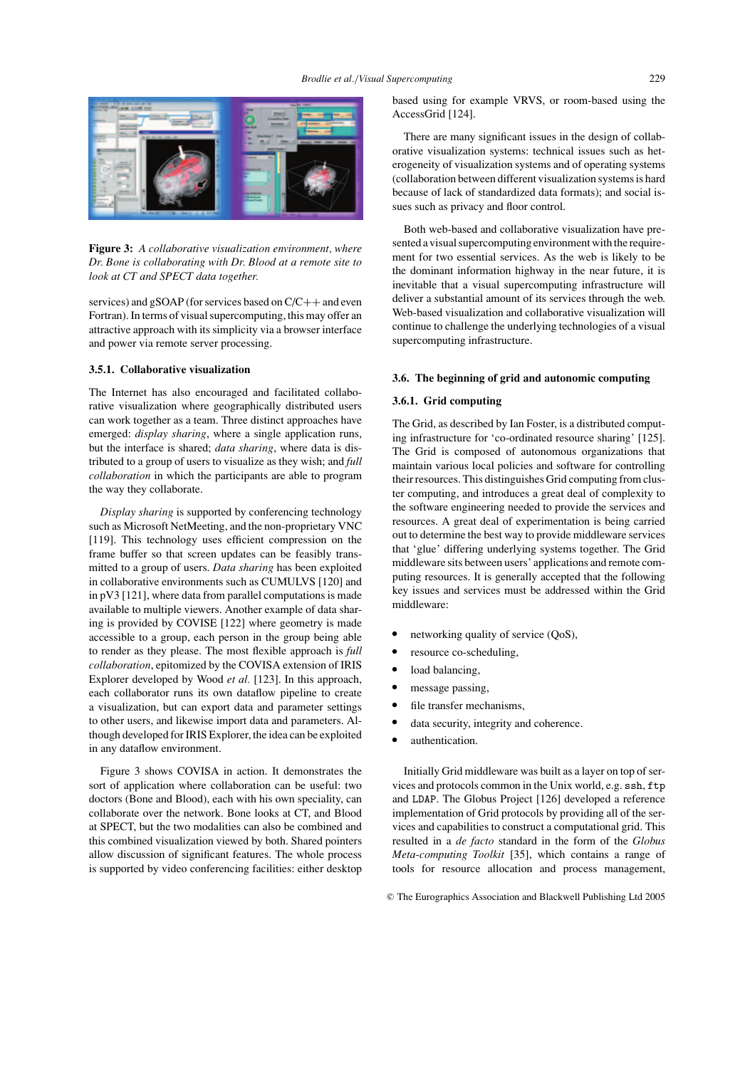

**Figure 3:** *A collaborative visualization environment, where Dr. Bone is collaborating with Dr. Blood at a remote site to look at CT and SPECT data together.*

services) and gSOAP (for services based on C/C++ and even Fortran). In terms of visual supercomputing, this may offer an attractive approach with its simplicity via a browser interface and power via remote server processing.

#### **3.5.1. Collaborative visualization**

The Internet has also encouraged and facilitated collaborative visualization where geographically distributed users can work together as a team. Three distinct approaches have emerged: *display sharing*, where a single application runs, but the interface is shared; *data sharing*, where data is distributed to a group of users to visualize as they wish; and *full collaboration* in which the participants are able to program the way they collaborate.

*Display sharing* is supported by conferencing technology such as Microsoft NetMeeting, and the non-proprietary VNC [119]. This technology uses efficient compression on the frame buffer so that screen updates can be feasibly transmitted to a group of users. *Data sharing* has been exploited in collaborative environments such as CUMULVS [120] and in pV3 [121], where data from parallel computations is made available to multiple viewers. Another example of data sharing is provided by COVISE [122] where geometry is made accessible to a group, each person in the group being able to render as they please. The most flexible approach is *full collaboration*, epitomized by the COVISA extension of IRIS Explorer developed by Wood *et al.* [123]. In this approach, each collaborator runs its own dataflow pipeline to create a visualization, but can export data and parameter settings to other users, and likewise import data and parameters. Although developed for IRIS Explorer, the idea can be exploited in any dataflow environment.

Figure 3 shows COVISA in action. It demonstrates the sort of application where collaboration can be useful: two doctors (Bone and Blood), each with his own speciality, can collaborate over the network. Bone looks at CT, and Blood at SPECT, but the two modalities can also be combined and this combined visualization viewed by both. Shared pointers allow discussion of significant features. The whole process is supported by video conferencing facilities: either desktop

based using for example VRVS, or room-based using the AccessGrid [124].

There are many significant issues in the design of collaborative visualization systems: technical issues such as heterogeneity of visualization systems and of operating systems (collaboration between different visualization systems is hard because of lack of standardized data formats); and social issues such as privacy and floor control.

Both web-based and collaborative visualization have presented a visual supercomputing environment with the requirement for two essential services. As the web is likely to be the dominant information highway in the near future, it is inevitable that a visual supercomputing infrastructure will deliver a substantial amount of its services through the web. Web-based visualization and collaborative visualization will continue to challenge the underlying technologies of a visual supercomputing infrastructure.

#### **3.6. The beginning of grid and autonomic computing**

## **3.6.1. Grid computing**

The Grid, as described by Ian Foster, is a distributed computing infrastructure for 'co-ordinated resource sharing' [125]. The Grid is composed of autonomous organizations that maintain various local policies and software for controlling their resources. This distinguishes Grid computing from cluster computing, and introduces a great deal of complexity to the software engineering needed to provide the services and resources. A great deal of experimentation is being carried out to determine the best way to provide middleware services that 'glue' differing underlying systems together. The Grid middleware sits between users' applications and remote computing resources. It is generally accepted that the following key issues and services must be addressed within the Grid middleware:

- networking quality of service (QoS),
- resource co-scheduling,
- load balancing,
- message passing,
- file transfer mechanisms,
- data security, integrity and coherence.
- authentication.

Initially Grid middleware was built as a layer on top of services and protocols common in the Unix world, e.g. ssh, ftp and LDAP. The Globus Project [126] developed a reference implementation of Grid protocols by providing all of the services and capabilities to construct a computational grid. This resulted in a *de facto* standard in the form of the *Globus Meta-computing Toolkit* [35], which contains a range of tools for resource allocation and process management,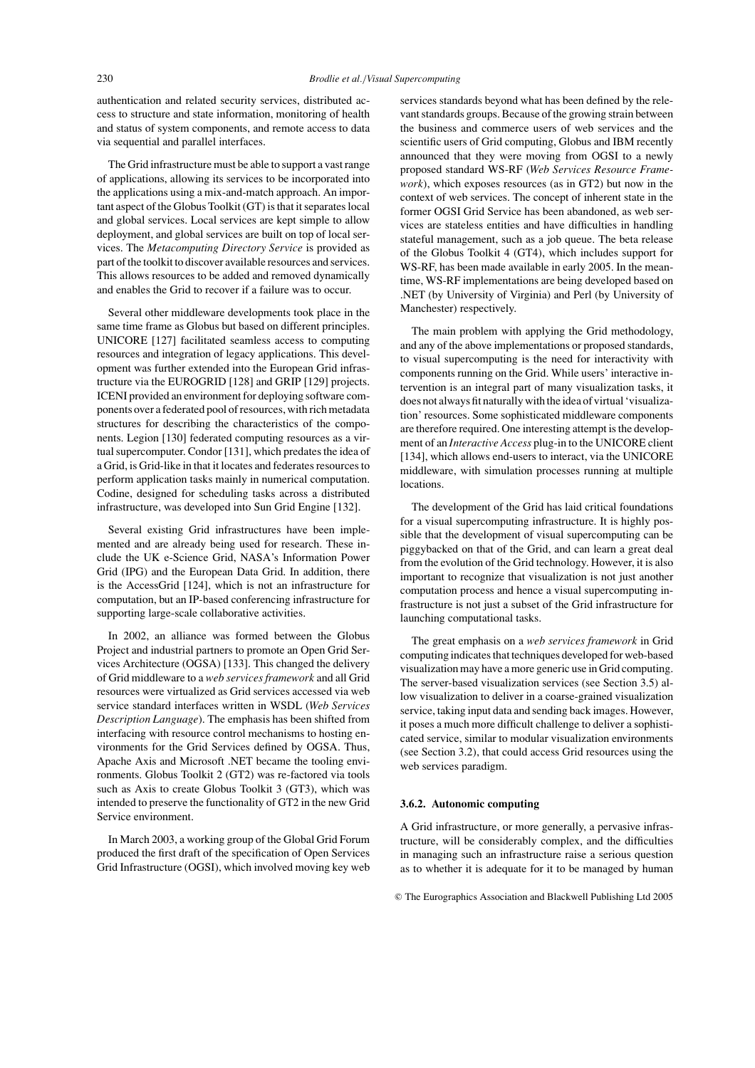authentication and related security services, distributed access to structure and state information, monitoring of health and status of system components, and remote access to data via sequential and parallel interfaces.

The Grid infrastructure must be able to support a vast range of applications, allowing its services to be incorporated into the applications using a mix-and-match approach. An important aspect of the Globus Toolkit (GT) is that it separates local and global services. Local services are kept simple to allow deployment, and global services are built on top of local services. The *Metacomputing Directory Service* is provided as part of the toolkit to discover available resources and services. This allows resources to be added and removed dynamically and enables the Grid to recover if a failure was to occur.

Several other middleware developments took place in the same time frame as Globus but based on different principles. UNICORE [127] facilitated seamless access to computing resources and integration of legacy applications. This development was further extended into the European Grid infrastructure via the EUROGRID [128] and GRIP [129] projects. ICENI provided an environment for deploying software components over a federated pool of resources, with rich metadata structures for describing the characteristics of the components. Legion [130] federated computing resources as a virtual supercomputer. Condor [131], which predates the idea of a Grid, is Grid-like in that it locates and federates resources to perform application tasks mainly in numerical computation. Codine, designed for scheduling tasks across a distributed infrastructure, was developed into Sun Grid Engine [132].

Several existing Grid infrastructures have been implemented and are already being used for research. These include the UK e-Science Grid, NASA's Information Power Grid (IPG) and the European Data Grid. In addition, there is the AccessGrid [124], which is not an infrastructure for computation, but an IP-based conferencing infrastructure for supporting large-scale collaborative activities.

In 2002, an alliance was formed between the Globus Project and industrial partners to promote an Open Grid Services Architecture (OGSA) [133]. This changed the delivery of Grid middleware to a *web services framework* and all Grid resources were virtualized as Grid services accessed via web service standard interfaces written in WSDL (*Web Services Description Language*). The emphasis has been shifted from interfacing with resource control mechanisms to hosting environments for the Grid Services defined by OGSA. Thus, Apache Axis and Microsoft .NET became the tooling environments. Globus Toolkit 2 (GT2) was re-factored via tools such as Axis to create Globus Toolkit 3 (GT3), which was intended to preserve the functionality of GT2 in the new Grid Service environment.

In March 2003, a working group of the Global Grid Forum produced the first draft of the specification of Open Services Grid Infrastructure (OGSI), which involved moving key web services standards beyond what has been defined by the relevant standards groups. Because of the growing strain between the business and commerce users of web services and the scientific users of Grid computing, Globus and IBM recently announced that they were moving from OGSI to a newly proposed standard WS-RF (*Web Services Resource Framework*), which exposes resources (as in GT2) but now in the context of web services. The concept of inherent state in the former OGSI Grid Service has been abandoned, as web services are stateless entities and have difficulties in handling stateful management, such as a job queue. The beta release of the Globus Toolkit 4 (GT4), which includes support for WS-RF, has been made available in early 2005. In the meantime, WS-RF implementations are being developed based on .NET (by University of Virginia) and Perl (by University of Manchester) respectively.

The main problem with applying the Grid methodology, and any of the above implementations or proposed standards, to visual supercomputing is the need for interactivity with components running on the Grid. While users' interactive intervention is an integral part of many visualization tasks, it does not always fit naturally with the idea of virtual 'visualization' resources. Some sophisticated middleware components are therefore required. One interesting attempt is the development of an *Interactive Access* plug-in to the UNICORE client [134], which allows end-users to interact, via the UNICORE middleware, with simulation processes running at multiple locations.

The development of the Grid has laid critical foundations for a visual supercomputing infrastructure. It is highly possible that the development of visual supercomputing can be piggybacked on that of the Grid, and can learn a great deal from the evolution of the Grid technology. However, it is also important to recognize that visualization is not just another computation process and hence a visual supercomputing infrastructure is not just a subset of the Grid infrastructure for launching computational tasks.

The great emphasis on a *web services framework* in Grid computing indicates that techniques developed for web-based visualization may have a more generic use in Grid computing. The server-based visualization services (see Section 3.5) allow visualization to deliver in a coarse-grained visualization service, taking input data and sending back images. However, it poses a much more difficult challenge to deliver a sophisticated service, similar to modular visualization environments (see Section 3.2), that could access Grid resources using the web services paradigm.

## **3.6.2. Autonomic computing**

A Grid infrastructure, or more generally, a pervasive infrastructure, will be considerably complex, and the difficulties in managing such an infrastructure raise a serious question as to whether it is adequate for it to be managed by human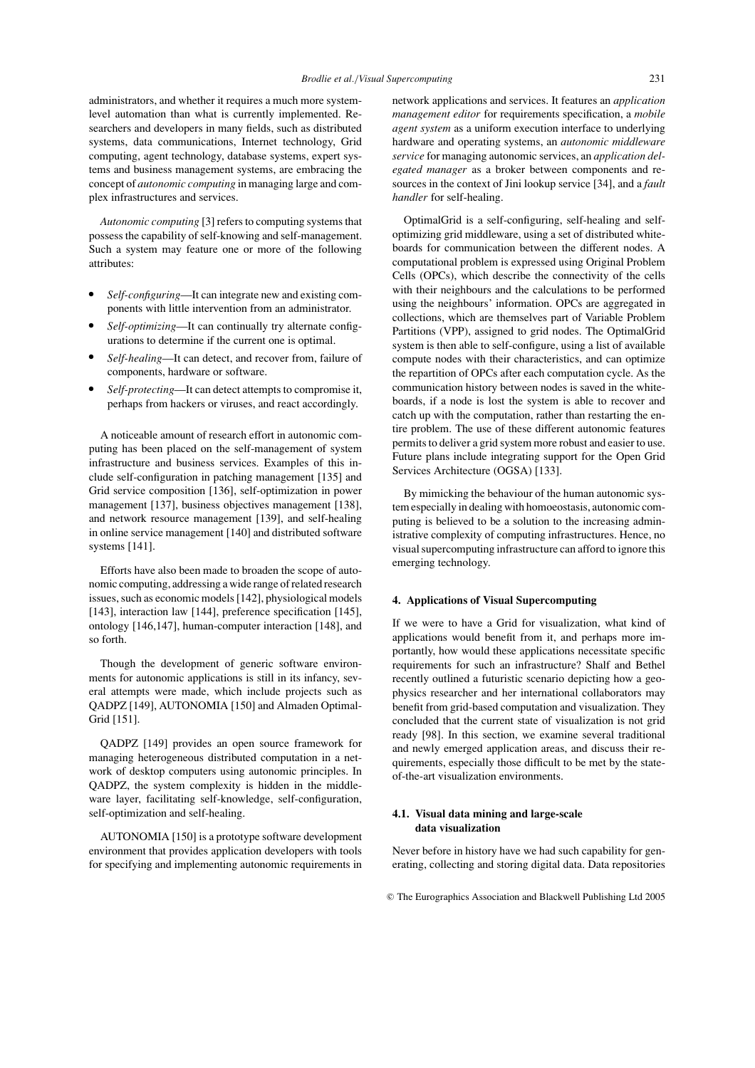administrators, and whether it requires a much more systemlevel automation than what is currently implemented. Researchers and developers in many fields, such as distributed systems, data communications, Internet technology, Grid computing, agent technology, database systems, expert systems and business management systems, are embracing the concept of *autonomic computing* in managing large and complex infrastructures and services.

*Autonomic computing* [3] refers to computing systems that possess the capability of self-knowing and self-management. Such a system may feature one or more of the following attributes:

- *Self-configuring*—It can integrate new and existing components with little intervention from an administrator.
- *Self-optimizing*—It can continually try alternate configurations to determine if the current one is optimal.
- *Self-healing*—It can detect, and recover from, failure of components, hardware or software.
- *Self-protecting*—It can detect attempts to compromise it, perhaps from hackers or viruses, and react accordingly.

A noticeable amount of research effort in autonomic computing has been placed on the self-management of system infrastructure and business services. Examples of this include self-configuration in patching management [135] and Grid service composition [136], self-optimization in power management [137], business objectives management [138], and network resource management [139], and self-healing in online service management [140] and distributed software systems [141].

Efforts have also been made to broaden the scope of autonomic computing, addressing a wide range of related research issues, such as economic models [142], physiological models [143], interaction law [144], preference specification [145], ontology [146,147], human-computer interaction [148], and so forth.

Though the development of generic software environments for autonomic applications is still in its infancy, several attempts were made, which include projects such as QADPZ [149], AUTONOMIA [150] and Almaden Optimal-Grid [151].

QADPZ [149] provides an open source framework for managing heterogeneous distributed computation in a network of desktop computers using autonomic principles. In QADPZ, the system complexity is hidden in the middleware layer, facilitating self-knowledge, self-configuration, self-optimization and self-healing.

AUTONOMIA [150] is a prototype software development environment that provides application developers with tools for specifying and implementing autonomic requirements in

network applications and services. It features an *application management editor* for requirements specification, a *mobile agent system* as a uniform execution interface to underlying hardware and operating systems, an *autonomic middleware service* for managing autonomic services, an *application delegated manager* as a broker between components and resources in the context of Jini lookup service [34], and a *fault handler* for self-healing.

OptimalGrid is a self-configuring, self-healing and selfoptimizing grid middleware, using a set of distributed whiteboards for communication between the different nodes. A computational problem is expressed using Original Problem Cells (OPCs), which describe the connectivity of the cells with their neighbours and the calculations to be performed using the neighbours' information. OPCs are aggregated in collections, which are themselves part of Variable Problem Partitions (VPP), assigned to grid nodes. The OptimalGrid system is then able to self-configure, using a list of available compute nodes with their characteristics, and can optimize the repartition of OPCs after each computation cycle. As the communication history between nodes is saved in the whiteboards, if a node is lost the system is able to recover and catch up with the computation, rather than restarting the entire problem. The use of these different autonomic features permits to deliver a grid system more robust and easier to use. Future plans include integrating support for the Open Grid Services Architecture (OGSA) [133].

By mimicking the behaviour of the human autonomic system especially in dealing with homoeostasis, autonomic computing is believed to be a solution to the increasing administrative complexity of computing infrastructures. Hence, no visual supercomputing infrastructure can afford to ignore this emerging technology.

#### **4. Applications of Visual Supercomputing**

If we were to have a Grid for visualization, what kind of applications would benefit from it, and perhaps more importantly, how would these applications necessitate specific requirements for such an infrastructure? Shalf and Bethel recently outlined a futuristic scenario depicting how a geophysics researcher and her international collaborators may benefit from grid-based computation and visualization. They concluded that the current state of visualization is not grid ready [98]. In this section, we examine several traditional and newly emerged application areas, and discuss their requirements, especially those difficult to be met by the stateof-the-art visualization environments.

## **4.1. Visual data mining and large-scale data visualization**

Never before in history have we had such capability for generating, collecting and storing digital data. Data repositories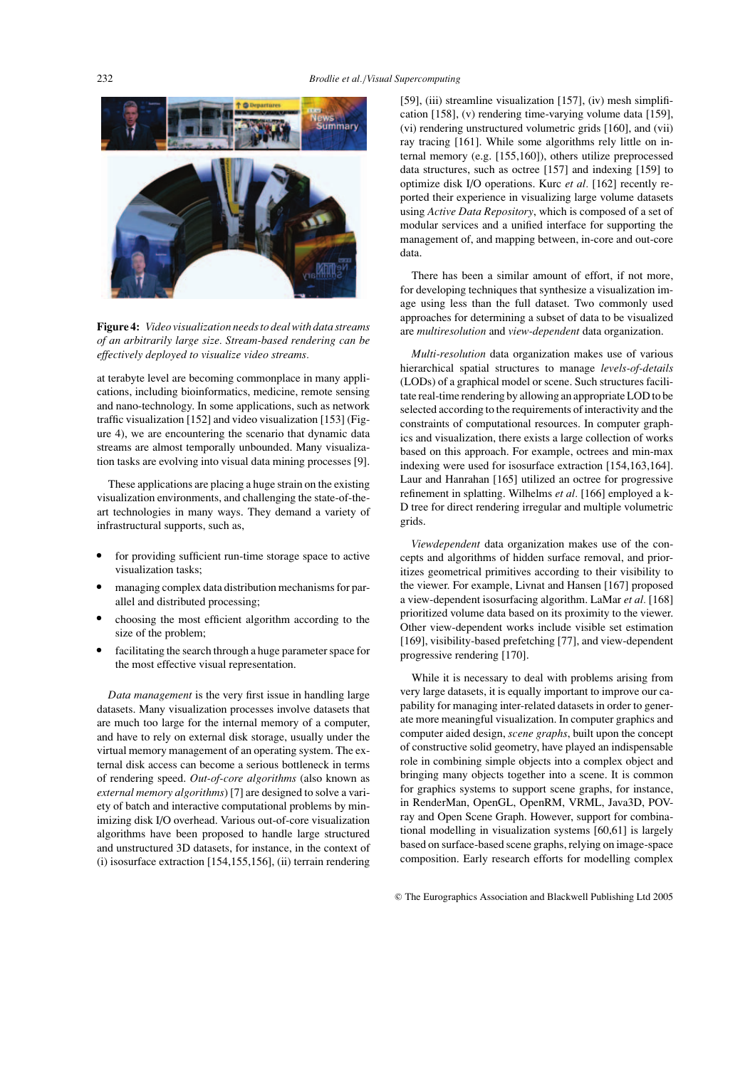

**Figure 4:** *Video visualization needs to deal with data streams of an arbitrarily large size. Stream-based rendering can be effectively deployed to visualize video streams.*

at terabyte level are becoming commonplace in many applications, including bioinformatics, medicine, remote sensing and nano-technology. In some applications, such as network traffic visualization [152] and video visualization [153] (Figure 4), we are encountering the scenario that dynamic data streams are almost temporally unbounded. Many visualization tasks are evolving into visual data mining processes [9].

These applications are placing a huge strain on the existing visualization environments, and challenging the state-of-theart technologies in many ways. They demand a variety of infrastructural supports, such as,

- for providing sufficient run-time storage space to active visualization tasks;
- managing complex data distribution mechanisms for parallel and distributed processing;
- choosing the most efficient algorithm according to the size of the problem;
- facilitating the search through a huge parameter space for the most effective visual representation.

*Data management* is the very first issue in handling large datasets. Many visualization processes involve datasets that are much too large for the internal memory of a computer, and have to rely on external disk storage, usually under the virtual memory management of an operating system. The external disk access can become a serious bottleneck in terms of rendering speed. *Out-of-core algorithms* (also known as *external memory algorithms*) [7] are designed to solve a variety of batch and interactive computational problems by minimizing disk I/O overhead. Various out-of-core visualization algorithms have been proposed to handle large structured and unstructured 3D datasets, for instance, in the context of (i) isosurface extraction [154,155,156], (ii) terrain rendering

[59], (iii) streamline visualization [157], (iv) mesh simplification [158], (v) rendering time-varying volume data [159], (vi) rendering unstructured volumetric grids [160], and (vii) ray tracing [161]. While some algorithms rely little on internal memory (e.g. [155,160]), others utilize preprocessed data structures, such as octree [157] and indexing [159] to optimize disk I/O operations. Kurc *et al.* [162] recently reported their experience in visualizing large volume datasets using *Active Data Repository*, which is composed of a set of modular services and a unified interface for supporting the management of, and mapping between, in-core and out-core data.

There has been a similar amount of effort, if not more, for developing techniques that synthesize a visualization image using less than the full dataset. Two commonly used approaches for determining a subset of data to be visualized are *multiresolution* and *view-dependent* data organization.

*Multi-resolution* data organization makes use of various hierarchical spatial structures to manage *levels-of-details* (LODs) of a graphical model or scene. Such structures facilitate real-time rendering by allowing an appropriate LOD to be selected according to the requirements of interactivity and the constraints of computational resources. In computer graphics and visualization, there exists a large collection of works based on this approach. For example, octrees and min-max indexing were used for isosurface extraction [154,163,164]. Laur and Hanrahan [165] utilized an octree for progressive refinement in splatting. Wilhelms *et al.* [166] employed a k-D tree for direct rendering irregular and multiple volumetric grids.

*Viewdependent* data organization makes use of the concepts and algorithms of hidden surface removal, and prioritizes geometrical primitives according to their visibility to the viewer. For example, Livnat and Hansen [167] proposed a view-dependent isosurfacing algorithm. LaMar *et al.* [168] prioritized volume data based on its proximity to the viewer. Other view-dependent works include visible set estimation [169], visibility-based prefetching [77], and view-dependent progressive rendering [170].

While it is necessary to deal with problems arising from very large datasets, it is equally important to improve our capability for managing inter-related datasets in order to generate more meaningful visualization. In computer graphics and computer aided design, *scene graphs*, built upon the concept of constructive solid geometry, have played an indispensable role in combining simple objects into a complex object and bringing many objects together into a scene. It is common for graphics systems to support scene graphs, for instance, in RenderMan, OpenGL, OpenRM, VRML, Java3D, POVray and Open Scene Graph. However, support for combinational modelling in visualization systems [60,61] is largely based on surface-based scene graphs, relying on image-space composition. Early research efforts for modelling complex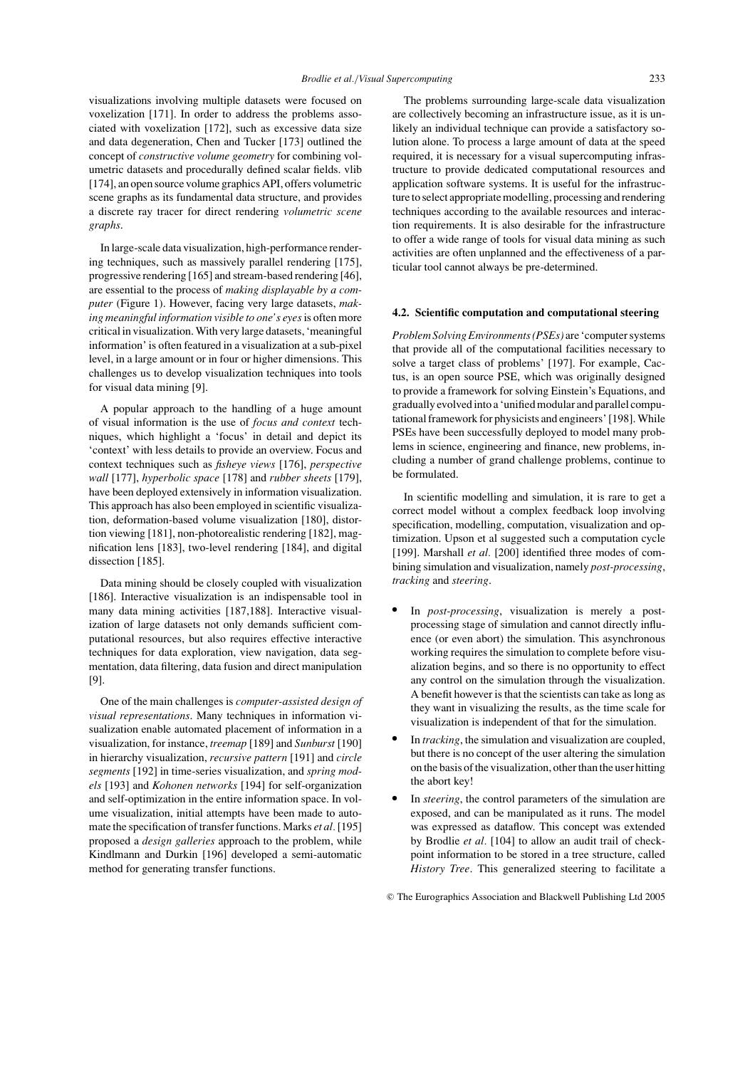visualizations involving multiple datasets were focused on voxelization [171]. In order to address the problems associated with voxelization [172], such as excessive data size and data degeneration, Chen and Tucker [173] outlined the concept of *constructive volume geometry* for combining volumetric datasets and procedurally defined scalar fields. vlib [174], an open source volume graphics API, offers volumetric scene graphs as its fundamental data structure, and provides a discrete ray tracer for direct rendering *volumetric scene graphs*.

In large-scale data visualization, high-performance rendering techniques, such as massively parallel rendering [175], progressive rendering [165] and stream-based rendering [46], are essential to the process of *making displayable by a computer* (Figure 1). However, facing very large datasets, *making meaningful information visible to one's eyes*is often more critical in visualization. With very large datasets, 'meaningful information' is often featured in a visualization at a sub-pixel level, in a large amount or in four or higher dimensions. This challenges us to develop visualization techniques into tools for visual data mining [9].

A popular approach to the handling of a huge amount of visual information is the use of *focus and context* techniques, which highlight a 'focus' in detail and depict its 'context' with less details to provide an overview. Focus and context techniques such as *fisheye views* [176], *perspective wall* [177], *hyperbolic space* [178] and *rubber sheets* [179], have been deployed extensively in information visualization. This approach has also been employed in scientific visualization, deformation-based volume visualization [180], distortion viewing [181], non-photorealistic rendering [182], magnification lens [183], two-level rendering [184], and digital dissection [185].

Data mining should be closely coupled with visualization [186]. Interactive visualization is an indispensable tool in many data mining activities [187,188]. Interactive visualization of large datasets not only demands sufficient computational resources, but also requires effective interactive techniques for data exploration, view navigation, data segmentation, data filtering, data fusion and direct manipulation [9].

One of the main challenges is *computer-assisted design of visual representations*. Many techniques in information visualization enable automated placement of information in a visualization, for instance, *treemap* [189] and *Sunburst* [190] in hierarchy visualization, *recursive pattern* [191] and *circle segments* [192] in time-series visualization, and *spring models* [193] and *Kohonen networks* [194] for self-organization and self-optimization in the entire information space. In volume visualization, initial attempts have been made to automate the specification of transfer functions. Marks *et al.*[195] proposed a *design galleries* approach to the problem, while Kindlmann and Durkin [196] developed a semi-automatic method for generating transfer functions.

The problems surrounding large-scale data visualization are collectively becoming an infrastructure issue, as it is unlikely an individual technique can provide a satisfactory solution alone. To process a large amount of data at the speed required, it is necessary for a visual supercomputing infrastructure to provide dedicated computational resources and application software systems. It is useful for the infrastructure to select appropriate modelling, processing and rendering techniques according to the available resources and interaction requirements. It is also desirable for the infrastructure to offer a wide range of tools for visual data mining as such activities are often unplanned and the effectiveness of a particular tool cannot always be pre-determined.

## **4.2. Scientific computation and computational steering**

*Problem Solving Environments (PSEs)* are 'computer systems that provide all of the computational facilities necessary to solve a target class of problems' [197]. For example, Cactus, is an open source PSE, which was originally designed to provide a framework for solving Einstein's Equations, and gradually evolved into a 'unified modular and parallel computational framework for physicists and engineers' [198]. While PSEs have been successfully deployed to model many problems in science, engineering and finance, new problems, including a number of grand challenge problems, continue to be formulated.

In scientific modelling and simulation, it is rare to get a correct model without a complex feedback loop involving specification, modelling, computation, visualization and optimization. Upson et al suggested such a computation cycle [199]. Marshall *et al.* [200] identified three modes of combining simulation and visualization, namely *post-processing*, *tracking* and *steering*.

- In *post-processing*, visualization is merely a postprocessing stage of simulation and cannot directly influence (or even abort) the simulation. This asynchronous working requires the simulation to complete before visualization begins, and so there is no opportunity to effect any control on the simulation through the visualization. A benefit however is that the scientists can take as long as they want in visualizing the results, as the time scale for visualization is independent of that for the simulation.
- In *tracking*, the simulation and visualization are coupled, but there is no concept of the user altering the simulation on the basis of the visualization, other than the user hitting the abort key!
- In *steering*, the control parameters of the simulation are exposed, and can be manipulated as it runs. The model was expressed as dataflow. This concept was extended by Brodlie *et al.* [104] to allow an audit trail of checkpoint information to be stored in a tree structure, called *History Tree*. This generalized steering to facilitate a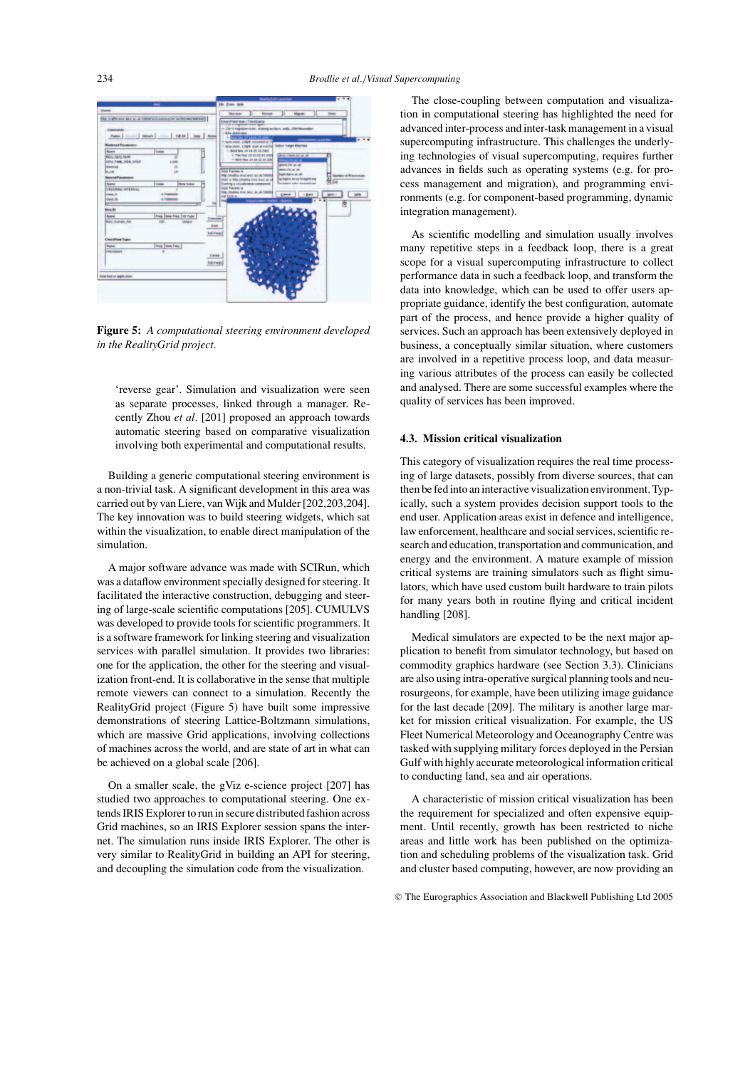

**Figure 5:** *A computational steering environment developed in the RealityGrid project.*

'reverse gear'. Simulation and visualization were seen as separate processes, linked through a manager. Recently Zhou *et al.* [201] proposed an approach towards automatic steering based on comparative visualization involving both experimental and computational results.

Building a generic computational steering environment is a non-trivial task. A significant development in this area was carried out by van Liere, van Wijk and Mulder [202,203,204]. The key innovation was to build steering widgets, which sat within the visualization, to enable direct manipulation of the simulation.

A major software advance was made with SCIRun, which was a dataflow environment specially designed for steering. It facilitated the interactive construction, debugging and steering of large-scale scientific computations [205]. CUMULVS was developed to provide tools for scientific programmers. It is a software framework for linking steering and visualization services with parallel simulation. It provides two libraries: one for the application, the other for the steering and visualization front-end. It is collaborative in the sense that multiple remote viewers can connect to a simulation. Recently the RealityGrid project (Figure 5) have built some impressive demonstrations of steering Lattice-Boltzmann simulations, which are massive Grid applications, involving collections of machines across the world, and are state of art in what can be achieved on a global scale [206].

On a smaller scale, the gViz e-science project [207] has studied two approaches to computational steering. One extends IRIS Explorer to run in secure distributed fashion across Grid machines, so an IRIS Explorer session spans the internet. The simulation runs inside IRIS Explorer. The other is very similar to RealityGrid in building an API for steering, and decoupling the simulation code from the visualization.

The close-coupling between computation and visualization in computational steering has highlighted the need for advanced inter-process and inter-task management in a visual supercomputing infrastructure. This challenges the underlying technologies of visual supercomputing, requires further advances in fields such as operating systems (e.g. for process management and migration), and programming environments (e.g. for component-based programming, dynamic integration management).

As scientific modelling and simulation usually involves many repetitive steps in a feedback loop, there is a great scope for a visual supercomputing infrastructure to collect performance data in such a feedback loop, and transform the data into knowledge, which can be used to offer users appropriate guidance, identify the best configuration, automate part of the process, and hence provide a higher quality of services. Such an approach has been extensively deployed in business, a conceptually similar situation, where customers are involved in a repetitive process loop, and data measuring various attributes of the process can easily be collected and analysed. There are some successful examples where the quality of services has been improved.

#### **4.3. Mission critical visualization**

This category of visualization requires the real time processing of large datasets, possibly from diverse sources, that can then be fed into an interactive visualization environment. Typically, such a system provides decision support tools to the end user. Application areas exist in defence and intelligence, law enforcement, healthcare and social services, scientific research and education, transportation and communication, and energy and the environment. A mature example of mission critical systems are training simulators such as flight simulators, which have used custom built hardware to train pilots for many years both in routine flying and critical incident handling [208].

Medical simulators are expected to be the next major application to benefit from simulator technology, but based on commodity graphics hardware (see Section 3.3). Clinicians are also using intra-operative surgical planning tools and neurosurgeons, for example, have been utilizing image guidance for the last decade [209]. The military is another large market for mission critical visualization. For example, the US Fleet Numerical Meteorology and Oceanography Centre was tasked with supplying military forces deployed in the Persian Gulf with highly accurate meteorological information critical to conducting land, sea and air operations.

A characteristic of mission critical visualization has been the requirement for specialized and often expensive equipment. Until recently, growth has been restricted to niche areas and little work has been published on the optimization and scheduling problems of the visualization task. Grid and cluster based computing, however, are now providing an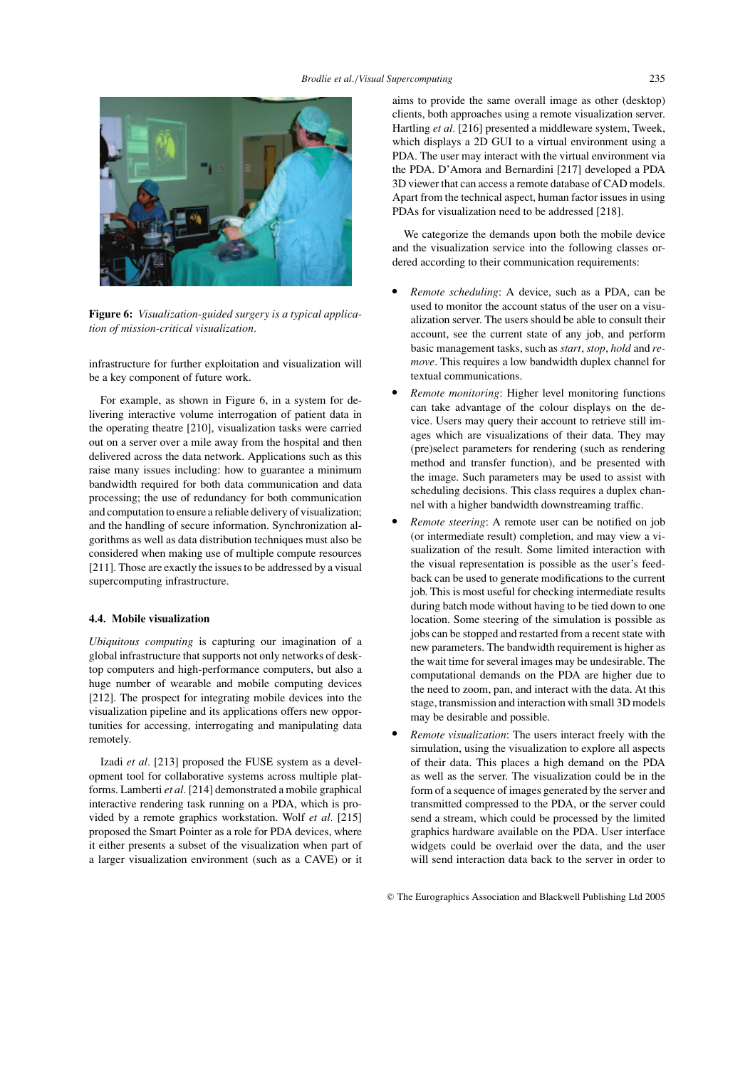

**Figure 6:** *Visualization-guided surgery is a typical application of mission-critical visualization.*

infrastructure for further exploitation and visualization will be a key component of future work.

For example, as shown in Figure 6, in a system for delivering interactive volume interrogation of patient data in the operating theatre [210], visualization tasks were carried out on a server over a mile away from the hospital and then delivered across the data network. Applications such as this raise many issues including: how to guarantee a minimum bandwidth required for both data communication and data processing; the use of redundancy for both communication and computation to ensure a reliable delivery of visualization; and the handling of secure information. Synchronization algorithms as well as data distribution techniques must also be considered when making use of multiple compute resources [211]. Those are exactly the issues to be addressed by a visual supercomputing infrastructure.

## **4.4. Mobile visualization**

*Ubiquitous computing* is capturing our imagination of a global infrastructure that supports not only networks of desktop computers and high-performance computers, but also a huge number of wearable and mobile computing devices [212]. The prospect for integrating mobile devices into the visualization pipeline and its applications offers new opportunities for accessing, interrogating and manipulating data remotely.

Izadi *et al.* [213] proposed the FUSE system as a development tool for collaborative systems across multiple platforms. Lamberti *et al.* [214] demonstrated a mobile graphical interactive rendering task running on a PDA, which is provided by a remote graphics workstation. Wolf *et al.* [215] proposed the Smart Pointer as a role for PDA devices, where it either presents a subset of the visualization when part of a larger visualization environment (such as a CAVE) or it

aims to provide the same overall image as other (desktop) clients, both approaches using a remote visualization server. Hartling *et al.* [216] presented a middleware system, Tweek, which displays a 2D GUI to a virtual environment using a PDA. The user may interact with the virtual environment via the PDA. D'Amora and Bernardini [217] developed a PDA 3D viewer that can access a remote database of CAD models. Apart from the technical aspect, human factor issues in using PDAs for visualization need to be addressed [218].

We categorize the demands upon both the mobile device and the visualization service into the following classes ordered according to their communication requirements:

- *Remote scheduling*: A device, such as a PDA, can be used to monitor the account status of the user on a visualization server. The users should be able to consult their account, see the current state of any job, and perform basic management tasks, such as *start*, *stop*, *hold* and *remove*. This requires a low bandwidth duplex channel for textual communications.
- *Remote monitoring*: Higher level monitoring functions can take advantage of the colour displays on the device. Users may query their account to retrieve still images which are visualizations of their data. They may (pre)select parameters for rendering (such as rendering method and transfer function), and be presented with the image. Such parameters may be used to assist with scheduling decisions. This class requires a duplex channel with a higher bandwidth downstreaming traffic.
- *Remote steering*: A remote user can be notified on job (or intermediate result) completion, and may view a visualization of the result. Some limited interaction with the visual representation is possible as the user's feedback can be used to generate modifications to the current job. This is most useful for checking intermediate results during batch mode without having to be tied down to one location. Some steering of the simulation is possible as jobs can be stopped and restarted from a recent state with new parameters. The bandwidth requirement is higher as the wait time for several images may be undesirable. The computational demands on the PDA are higher due to the need to zoom, pan, and interact with the data. At this stage, transmission and interaction with small 3D models may be desirable and possible.
- *Remote visualization*: The users interact freely with the simulation, using the visualization to explore all aspects of their data. This places a high demand on the PDA as well as the server. The visualization could be in the form of a sequence of images generated by the server and transmitted compressed to the PDA, or the server could send a stream, which could be processed by the limited graphics hardware available on the PDA. User interface widgets could be overlaid over the data, and the user will send interaction data back to the server in order to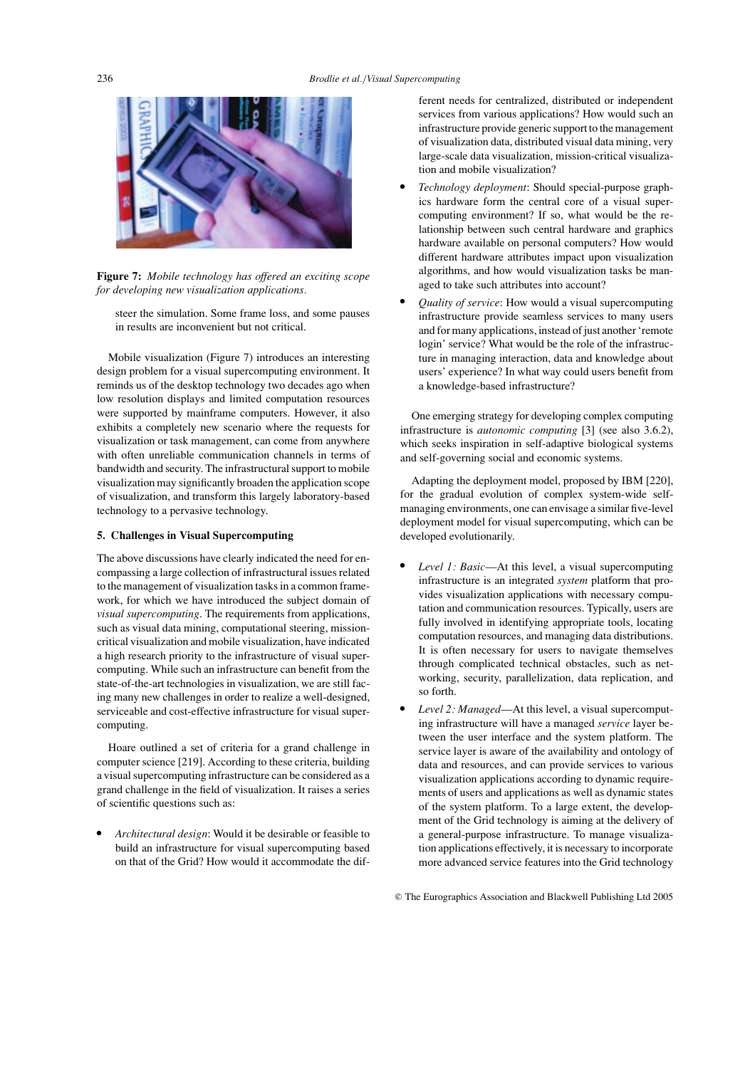

**Figure 7:** *Mobile technology has offered an exciting scope for developing new visualization applications.*

steer the simulation. Some frame loss, and some pauses in results are inconvenient but not critical.

Mobile visualization (Figure 7) introduces an interesting design problem for a visual supercomputing environment. It reminds us of the desktop technology two decades ago when low resolution displays and limited computation resources were supported by mainframe computers. However, it also exhibits a completely new scenario where the requests for visualization or task management, can come from anywhere with often unreliable communication channels in terms of bandwidth and security. The infrastructural support to mobile visualization may significantly broaden the application scope of visualization, and transform this largely laboratory-based technology to a pervasive technology.

### **5. Challenges in Visual Supercomputing**

The above discussions have clearly indicated the need for encompassing a large collection of infrastructural issues related to the management of visualization tasks in a common framework, for which we have introduced the subject domain of *visual supercomputing*. The requirements from applications, such as visual data mining, computational steering, missioncritical visualization and mobile visualization, have indicated a high research priority to the infrastructure of visual supercomputing. While such an infrastructure can benefit from the state-of-the-art technologies in visualization, we are still facing many new challenges in order to realize a well-designed, serviceable and cost-effective infrastructure for visual supercomputing.

Hoare outlined a set of criteria for a grand challenge in computer science [219]. According to these criteria, building a visual supercomputing infrastructure can be considered as a grand challenge in the field of visualization. It raises a series of scientific questions such as:

 *Architectural design*: Would it be desirable or feasible to build an infrastructure for visual supercomputing based on that of the Grid? How would it accommodate the different needs for centralized, distributed or independent services from various applications? How would such an infrastructure provide generic support to the management of visualization data, distributed visual data mining, very large-scale data visualization, mission-critical visualization and mobile visualization?

- *Technology deployment*: Should special-purpose graphics hardware form the central core of a visual supercomputing environment? If so, what would be the relationship between such central hardware and graphics hardware available on personal computers? How would different hardware attributes impact upon visualization algorithms, and how would visualization tasks be managed to take such attributes into account?
- *Quality of service*: How would a visual supercomputing infrastructure provide seamless services to many users and for many applications, instead of just another 'remote login' service? What would be the role of the infrastructure in managing interaction, data and knowledge about users' experience? In what way could users benefit from a knowledge-based infrastructure?

One emerging strategy for developing complex computing infrastructure is *autonomic computing* [3] (see also 3.6.2), which seeks inspiration in self-adaptive biological systems and self-governing social and economic systems.

Adapting the deployment model, proposed by IBM [220], for the gradual evolution of complex system-wide selfmanaging environments, one can envisage a similar five-level deployment model for visual supercomputing, which can be developed evolutionarily.

- *Level 1: Basic*—At this level, a visual supercomputing infrastructure is an integrated *system* platform that provides visualization applications with necessary computation and communication resources. Typically, users are fully involved in identifying appropriate tools, locating computation resources, and managing data distributions. It is often necessary for users to navigate themselves through complicated technical obstacles, such as networking, security, parallelization, data replication, and so forth.
- *Level 2: Managed*—At this level, a visual supercomputing infrastructure will have a managed *service* layer between the user interface and the system platform. The service layer is aware of the availability and ontology of data and resources, and can provide services to various visualization applications according to dynamic requirements of users and applications as well as dynamic states of the system platform. To a large extent, the development of the Grid technology is aiming at the delivery of a general-purpose infrastructure. To manage visualization applications effectively, it is necessary to incorporate more advanced service features into the Grid technology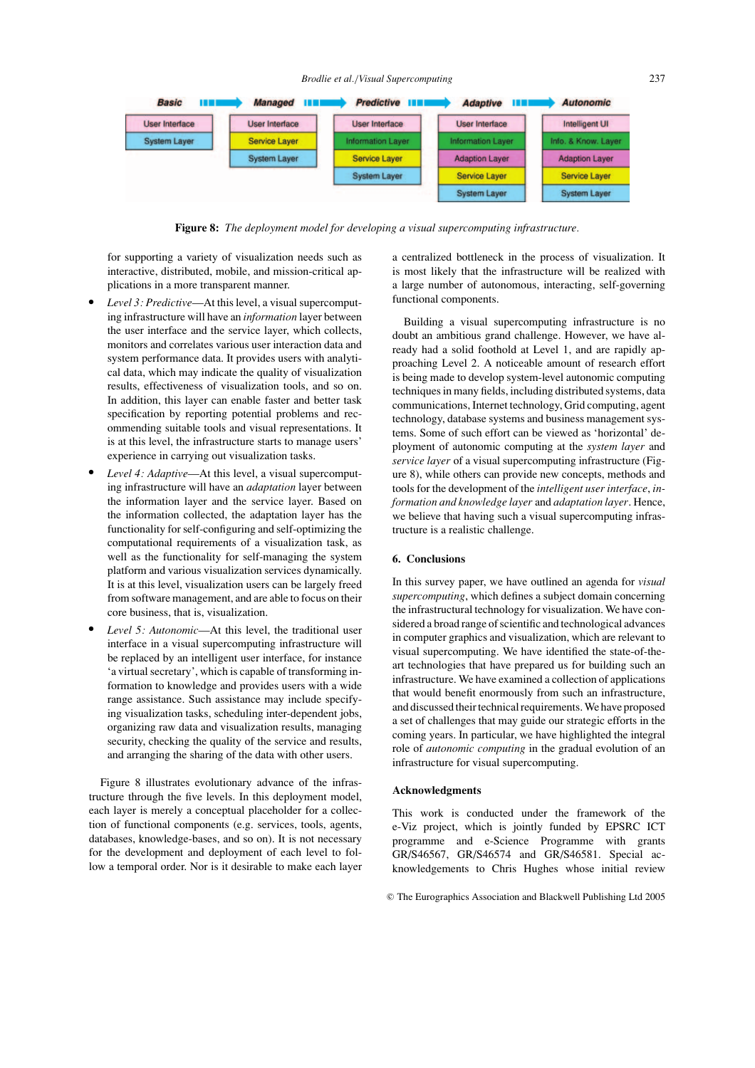

**Figure 8:** *The deployment model for developing a visual supercomputing infrastructure.*

for supporting a variety of visualization needs such as interactive, distributed, mobile, and mission-critical applications in a more transparent manner.

- *Level 3: Predictive*—At this level, a visual supercomputing infrastructure will have an *information* layer between the user interface and the service layer, which collects, monitors and correlates various user interaction data and system performance data. It provides users with analytical data, which may indicate the quality of visualization results, effectiveness of visualization tools, and so on. In addition, this layer can enable faster and better task specification by reporting potential problems and recommending suitable tools and visual representations. It is at this level, the infrastructure starts to manage users' experience in carrying out visualization tasks.
- *Level 4: Adaptive*—At this level, a visual supercomputing infrastructure will have an *adaptation* layer between the information layer and the service layer. Based on the information collected, the adaptation layer has the functionality for self-configuring and self-optimizing the computational requirements of a visualization task, as well as the functionality for self-managing the system platform and various visualization services dynamically. It is at this level, visualization users can be largely freed from software management, and are able to focus on their core business, that is, visualization.
- *Level 5: Autonomic*—At this level, the traditional user interface in a visual supercomputing infrastructure will be replaced by an intelligent user interface, for instance 'a virtual secretary', which is capable of transforming information to knowledge and provides users with a wide range assistance. Such assistance may include specifying visualization tasks, scheduling inter-dependent jobs, organizing raw data and visualization results, managing security, checking the quality of the service and results, and arranging the sharing of the data with other users.

Figure 8 illustrates evolutionary advance of the infrastructure through the five levels. In this deployment model, each layer is merely a conceptual placeholder for a collection of functional components (e.g. services, tools, agents, databases, knowledge-bases, and so on). It is not necessary for the development and deployment of each level to follow a temporal order. Nor is it desirable to make each layer a centralized bottleneck in the process of visualization. It is most likely that the infrastructure will be realized with a large number of autonomous, interacting, self-governing functional components.

Building a visual supercomputing infrastructure is no doubt an ambitious grand challenge. However, we have already had a solid foothold at Level 1, and are rapidly approaching Level 2. A noticeable amount of research effort is being made to develop system-level autonomic computing techniques in many fields, including distributed systems, data communications, Internet technology, Grid computing, agent technology, database systems and business management systems. Some of such effort can be viewed as 'horizontal' deployment of autonomic computing at the *system layer* and *service layer* of a visual supercomputing infrastructure (Figure 8), while others can provide new concepts, methods and tools for the development of the *intelligent user interface*, *information and knowledge layer* and *adaptation layer*. Hence, we believe that having such a visual supercomputing infrastructure is a realistic challenge.

#### **6. Conclusions**

In this survey paper, we have outlined an agenda for *visual supercomputing*, which defines a subject domain concerning the infrastructural technology for visualization. We have considered a broad range of scientific and technological advances in computer graphics and visualization, which are relevant to visual supercomputing. We have identified the state-of-theart technologies that have prepared us for building such an infrastructure. We have examined a collection of applications that would benefit enormously from such an infrastructure, and discussed their technical requirements. We have proposed a set of challenges that may guide our strategic efforts in the coming years. In particular, we have highlighted the integral role of *autonomic computing* in the gradual evolution of an infrastructure for visual supercomputing.

#### **Acknowledgments**

This work is conducted under the framework of the e-Viz project, which is jointly funded by EPSRC ICT programme and e-Science Programme with grants GR/S46567, GR/S46574 and GR/S46581. Special acknowledgements to Chris Hughes whose initial review

c The Eurographics Association and Blackwell Publishing Ltd 2005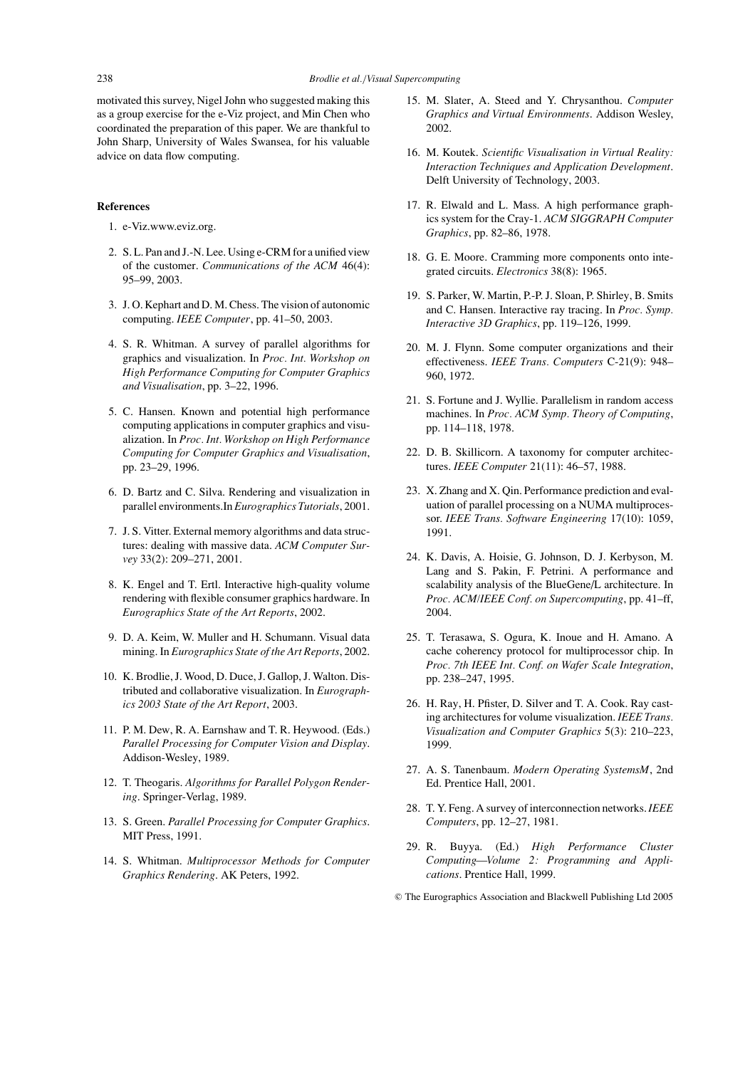motivated this survey, Nigel John who suggested making this as a group exercise for the e-Viz project, and Min Chen who coordinated the preparation of this paper. We are thankful to John Sharp, University of Wales Swansea, for his valuable advice on data flow computing.

#### **References**

- 1. e-Viz.www.eviz.org.
- 2. S. L. Pan and J.-N. Lee. Using e-CRM for a unified view of the customer. *Communications of the ACM* 46(4): 95–99, 2003.
- 3. J. O. Kephart and D. M. Chess. The vision of autonomic computing. *IEEE Computer*, pp. 41–50, 2003.
- 4. S. R. Whitman. A survey of parallel algorithms for graphics and visualization. In *Proc. Int. Workshop on High Performance Computing for Computer Graphics and Visualisation*, pp. 3–22, 1996.
- 5. C. Hansen. Known and potential high performance computing applications in computer graphics and visualization. In *Proc. Int. Workshop on High Performance Computing for Computer Graphics and Visualisation*, pp. 23–29, 1996.
- 6. D. Bartz and C. Silva. Rendering and visualization in parallel environments.In *Eurographics Tutorials*, 2001.
- 7. J. S. Vitter. External memory algorithms and data structures: dealing with massive data. *ACM Computer Survey* 33(2): 209–271, 2001.
- 8. K. Engel and T. Ertl. Interactive high-quality volume rendering with flexible consumer graphics hardware. In *Eurographics State of the Art Reports*, 2002.
- 9. D. A. Keim, W. Muller and H. Schumann. Visual data mining. In *Eurographics State of the Art Reports*, 2002.
- 10. K. Brodlie, J. Wood, D. Duce, J. Gallop, J. Walton. Distributed and collaborative visualization. In *Eurographics 2003 State of the Art Report*, 2003.
- 11. P. M. Dew, R. A. Earnshaw and T. R. Heywood. (Eds.) *Parallel Processing for Computer Vision and Display*. Addison-Wesley, 1989.
- 12. T. Theogaris. *Algorithms for Parallel Polygon Rendering*. Springer-Verlag, 1989.
- 13. S. Green. *Parallel Processing for Computer Graphics*. MIT Press, 1991.
- 14. S. Whitman. *Multiprocessor Methods for Computer Graphics Rendering*. AK Peters, 1992.
- 15. M. Slater, A. Steed and Y. Chrysanthou. *Computer Graphics and Virtual Environments*. Addison Wesley, 2002.
- 16. M. Koutek. *Scientific Visualisation in Virtual Reality: Interaction Techniques and Application Development*. Delft University of Technology, 2003.
- 17. R. Elwald and L. Mass. A high performance graphics system for the Cray-1. *ACM SIGGRAPH Computer Graphics*, pp. 82–86, 1978.
- 18. G. E. Moore. Cramming more components onto integrated circuits. *Electronics* 38(8): 1965.
- 19. S. Parker, W. Martin, P.-P. J. Sloan, P. Shirley, B. Smits and C. Hansen. Interactive ray tracing. In *Proc. Symp. Interactive 3D Graphics*, pp. 119–126, 1999.
- 20. M. J. Flynn. Some computer organizations and their effectiveness. *IEEE Trans. Computers* C-21(9): 948– 960, 1972.
- 21. S. Fortune and J. Wyllie. Parallelism in random access machines. In *Proc. ACM Symp. Theory of Computing*, pp. 114–118, 1978.
- 22. D. B. Skillicorn. A taxonomy for computer architectures. *IEEE Computer* 21(11): 46–57, 1988.
- 23. X. Zhang and X. Qin. Performance prediction and evaluation of parallel processing on a NUMA multiprocessor. *IEEE Trans. Software Engineering* 17(10): 1059, 1991.
- 24. K. Davis, A. Hoisie, G. Johnson, D. J. Kerbyson, M. Lang and S. Pakin, F. Petrini. A performance and scalability analysis of the BlueGene/L architecture. In *Proc. ACM/IEEE Conf. on Supercomputing*, pp. 41–ff, 2004.
- 25. T. Terasawa, S. Ogura, K. Inoue and H. Amano. A cache coherency protocol for multiprocessor chip. In *Proc. 7th IEEE Int. Conf. on Wafer Scale Integration*, pp. 238–247, 1995.
- 26. H. Ray, H. Pfister, D. Silver and T. A. Cook. Ray casting architectures for volume visualization. *IEEE Trans. Visualization and Computer Graphics* 5(3): 210–223, 1999.
- 27. A. S. Tanenbaum. *Modern Operating SystemsM*, 2nd Ed. Prentice Hall, 2001.
- 28. T. Y. Feng. A survey of interconnection networks. *IEEE Computers*, pp. 12–27, 1981.
- 29. R. Buyya. (Ed.) *High Performance Cluster Computing—Volume 2: Programming and Applications*. Prentice Hall, 1999.
- c The Eurographics Association and Blackwell Publishing Ltd 2005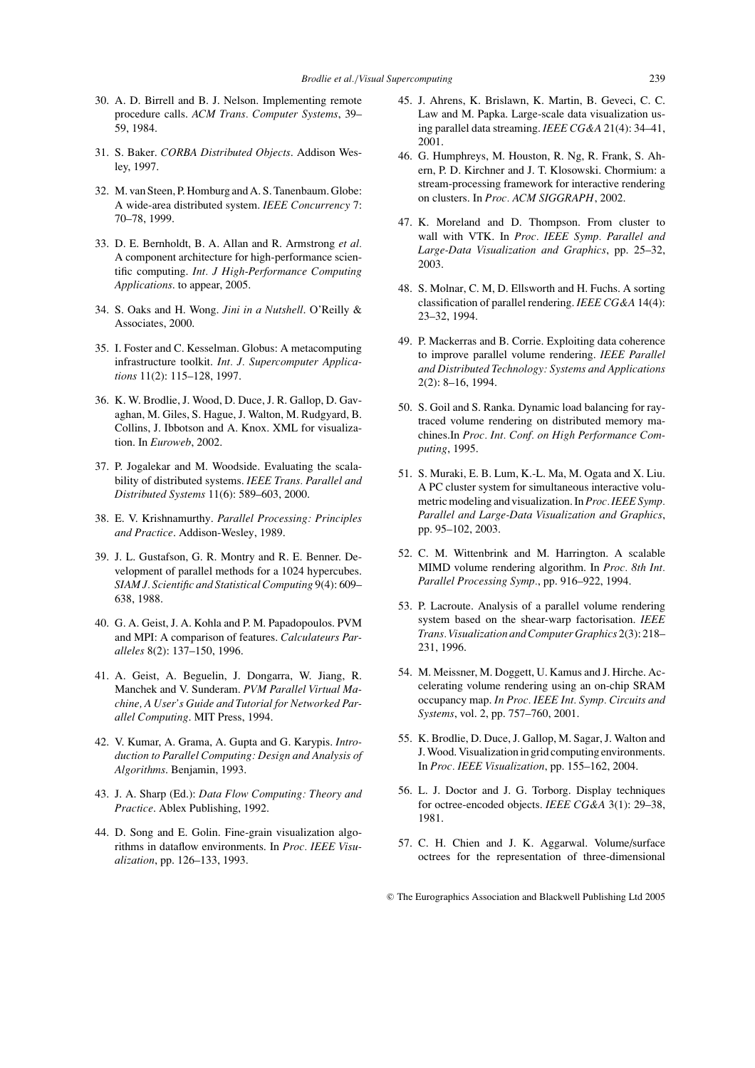- 30. A. D. Birrell and B. J. Nelson. Implementing remote procedure calls. *ACM Trans. Computer Systems*, 39– 59, 1984.
- 31. S. Baker. *CORBA Distributed Objects*. Addison Wesley, 1997.
- 32. M. van Steen, P. Homburg and A. S. Tanenbaum. Globe: A wide-area distributed system. *IEEE Concurrency* 7: 70–78, 1999.
- 33. D. E. Bernholdt, B. A. Allan and R. Armstrong *et al.* A component architecture for high-performance scientific computing. *Int. J High-Performance Computing Applications*. to appear, 2005.
- 34. S. Oaks and H. Wong. *Jini in a Nutshell*. O'Reilly & Associates, 2000.
- 35. I. Foster and C. Kesselman. Globus: A metacomputing infrastructure toolkit. *Int. J. Supercomputer Applications* 11(2): 115–128, 1997.
- 36. K. W. Brodlie, J. Wood, D. Duce, J. R. Gallop, D. Gavaghan, M. Giles, S. Hague, J. Walton, M. Rudgyard, B. Collins, J. Ibbotson and A. Knox. XML for visualization. In *Euroweb*, 2002.
- 37. P. Jogalekar and M. Woodside. Evaluating the scalability of distributed systems. *IEEE Trans. Parallel and Distributed Systems* 11(6): 589–603, 2000.
- 38. E. V. Krishnamurthy. *Parallel Processing: Principles and Practice*. Addison-Wesley, 1989.
- 39. J. L. Gustafson, G. R. Montry and R. E. Benner. Development of parallel methods for a 1024 hypercubes. *SIAM J. Scientific and Statistical Computing* 9(4): 609– 638, 1988.
- 40. G. A. Geist, J. A. Kohla and P. M. Papadopoulos. PVM and MPI: A comparison of features. *Calculateurs Paralleles* 8(2): 137–150, 1996.
- 41. A. Geist, A. Beguelin, J. Dongarra, W. Jiang, R. Manchek and V. Sunderam. *PVM Parallel Virtual Machine, A User's Guide and Tutorial for Networked Parallel Computing*. MIT Press, 1994.
- 42. V. Kumar, A. Grama, A. Gupta and G. Karypis. *Introduction to Parallel Computing: Design and Analysis of Algorithms*. Benjamin, 1993.
- 43. J. A. Sharp (Ed.): *Data Flow Computing: Theory and Practice*. Ablex Publishing, 1992.
- 44. D. Song and E. Golin. Fine-grain visualization algorithms in dataflow environments. In *Proc. IEEE Visualization*, pp. 126–133, 1993.
- 45. J. Ahrens, K. Brislawn, K. Martin, B. Geveci, C. C. Law and M. Papka. Large-scale data visualization using parallel data streaming. *IEEE CG&A* 21(4): 34–41, 2001.
- 46. G. Humphreys, M. Houston, R. Ng, R. Frank, S. Ahern, P. D. Kirchner and J. T. Klosowski. Chormium: a stream-processing framework for interactive rendering on clusters. In *Proc. ACM SIGGRAPH*, 2002.
- 47. K. Moreland and D. Thompson. From cluster to wall with VTK. In *Proc. IEEE Symp. Parallel and Large-Data Visualization and Graphics*, pp. 25–32, 2003.
- 48. S. Molnar, C. M, D. Ellsworth and H. Fuchs. A sorting classification of parallel rendering. *IEEE CG&A* 14(4): 23–32, 1994.
- 49. P. Mackerras and B. Corrie. Exploiting data coherence to improve parallel volume rendering. *IEEE Parallel and Distributed Technology: Systems and Applications* 2(2): 8–16, 1994.
- 50. S. Goil and S. Ranka. Dynamic load balancing for raytraced volume rendering on distributed memory machines.In *Proc. Int. Conf. on High Performance Computing*, 1995.
- 51. S. Muraki, E. B. Lum, K.-L. Ma, M. Ogata and X. Liu. A PC cluster system for simultaneous interactive volumetric modeling and visualization. In*Proc. IEEE Symp. Parallel and Large-Data Visualization and Graphics*, pp. 95–102, 2003.
- 52. C. M. Wittenbrink and M. Harrington. A scalable MIMD volume rendering algorithm. In *Proc. 8th Int. Parallel Processing Symp.*, pp. 916–922, 1994.
- 53. P. Lacroute. Analysis of a parallel volume rendering system based on the shear-warp factorisation. *IEEE Trans. Visualization and Computer Graphics* 2(3): 218– 231, 1996.
- 54. M. Meissner, M. Doggett, U. Kamus and J. Hirche. Accelerating volume rendering using an on-chip SRAM occupancy map. *In Proc. IEEE Int. Symp. Circuits and Systems*, vol. 2, pp. 757–760, 2001.
- 55. K. Brodlie, D. Duce, J. Gallop, M. Sagar, J. Walton and J. Wood. Visualization in grid computing environments. In *Proc. IEEE Visualization*, pp. 155–162, 2004.
- 56. L. J. Doctor and J. G. Torborg. Display techniques for octree-encoded objects. *IEEE CG&A* 3(1): 29–38, 1981.
- 57. C. H. Chien and J. K. Aggarwal. Volume/surface octrees for the representation of three-dimensional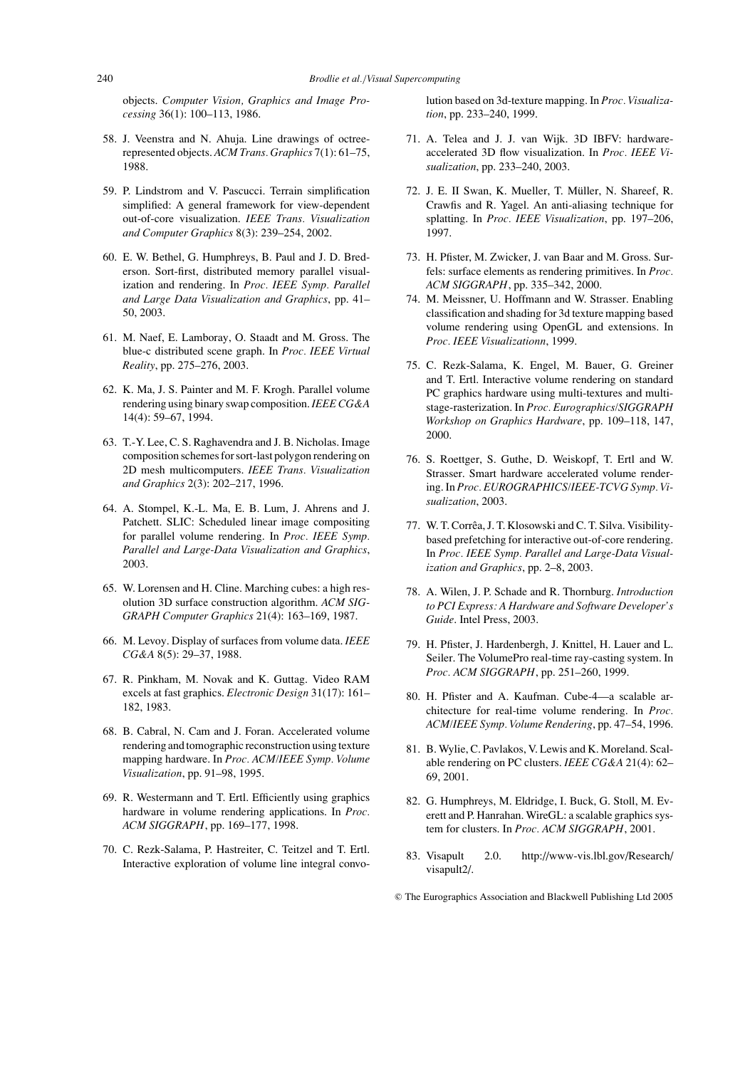objects. *Computer Vision, Graphics and Image Processing* 36(1): 100–113, 1986.

- 58. J. Veenstra and N. Ahuja. Line drawings of octreerepresented objects. *ACM Trans. Graphics* 7(1): 61–75, 1988.
- 59. P. Lindstrom and V. Pascucci. Terrain simplification simplified: A general framework for view-dependent out-of-core visualization. *IEEE Trans. Visualization and Computer Graphics* 8(3): 239–254, 2002.
- 60. E. W. Bethel, G. Humphreys, B. Paul and J. D. Brederson. Sort-first, distributed memory parallel visualization and rendering. In *Proc. IEEE Symp. Parallel and Large Data Visualization and Graphics*, pp. 41– 50, 2003.
- 61. M. Naef, E. Lamboray, O. Staadt and M. Gross. The blue-c distributed scene graph. In *Proc. IEEE Virtual Reality*, pp. 275–276, 2003.
- 62. K. Ma, J. S. Painter and M. F. Krogh. Parallel volume rendering using binary swap composition.*IEEE CG&A* 14(4): 59–67, 1994.
- 63. T.-Y. Lee, C. S. Raghavendra and J. B. Nicholas. Image composition schemes for sort-last polygon rendering on 2D mesh multicomputers. *IEEE Trans. Visualization and Graphics* 2(3): 202–217, 1996.
- 64. A. Stompel, K.-L. Ma, E. B. Lum, J. Ahrens and J. Patchett. SLIC: Scheduled linear image compositing for parallel volume rendering. In *Proc. IEEE Symp. Parallel and Large-Data Visualization and Graphics*, 2003.
- 65. W. Lorensen and H. Cline. Marching cubes: a high resolution 3D surface construction algorithm. *ACM SIG-GRAPH Computer Graphics* 21(4): 163–169, 1987.
- 66. M. Levoy. Display of surfaces from volume data. *IEEE CG&A* 8(5): 29–37, 1988.
- 67. R. Pinkham, M. Novak and K. Guttag. Video RAM excels at fast graphics. *Electronic Design* 31(17): 161– 182, 1983.
- 68. B. Cabral, N. Cam and J. Foran. Accelerated volume rendering and tomographic reconstruction using texture mapping hardware. In *Proc. ACM/IEEE Symp. Volume Visualization*, pp. 91–98, 1995.
- 69. R. Westermann and T. Ertl. Efficiently using graphics hardware in volume rendering applications. In *Proc. ACM SIGGRAPH*, pp. 169–177, 1998.
- 70. C. Rezk-Salama, P. Hastreiter, C. Teitzel and T. Ertl. Interactive exploration of volume line integral convo-

lution based on 3d-texture mapping. In *Proc. Visualization*, pp. 233–240, 1999.

- 71. A. Telea and J. J. van Wijk. 3D IBFV: hardwareaccelerated 3D flow visualization. In *Proc. IEEE Visualization*, pp. 233–240, 2003.
- 72. J. E. II Swan, K. Mueller, T. Müller, N. Shareef, R. Crawfis and R. Yagel. An anti-aliasing technique for splatting. In *Proc. IEEE Visualization*, pp. 197–206, 1997.
- 73. H. Pfister, M. Zwicker, J. van Baar and M. Gross. Surfels: surface elements as rendering primitives. In *Proc. ACM SIGGRAPH*, pp. 335–342, 2000.
- 74. M. Meissner, U. Hoffmann and W. Strasser. Enabling classification and shading for 3d texture mapping based volume rendering using OpenGL and extensions. In *Proc. IEEE Visualizationn*, 1999.
- 75. C. Rezk-Salama, K. Engel, M. Bauer, G. Greiner and T. Ertl. Interactive volume rendering on standard PC graphics hardware using multi-textures and multistage-rasterization. In *Proc. Eurographics/SIGGRAPH Workshop on Graphics Hardware*, pp. 109–118, 147, 2000.
- 76. S. Roettger, S. Guthe, D. Weiskopf, T. Ertl and W. Strasser. Smart hardware accelerated volume rendering. In *Proc. EUROGRAPHICS/IEEE-TCVG Symp. Visualization*, 2003.
- 77. W. T. Corrêa, J. T. Klosowski and C. T. Silva. Visibilitybased prefetching for interactive out-of-core rendering. In *Proc. IEEE Symp. Parallel and Large-Data Visualization and Graphics*, pp. 2–8, 2003.
- 78. A. Wilen, J. P. Schade and R. Thornburg. *Introduction to PCI Express: A Hardware and Software Developer's Guide*. Intel Press, 2003.
- 79. H. Pfister, J. Hardenbergh, J. Knittel, H. Lauer and L. Seiler. The VolumePro real-time ray-casting system. In *Proc. ACM SIGGRAPH*, pp. 251–260, 1999.
- 80. H. Pfister and A. Kaufman. Cube-4—a scalable architecture for real-time volume rendering. In *Proc. ACM/IEEE Symp. Volume Rendering*, pp. 47–54, 1996.
- 81. B. Wylie, C. Pavlakos, V. Lewis and K. Moreland. Scalable rendering on PC clusters. *IEEE CG&A* 21(4): 62– 69, 2001.
- 82. G. Humphreys, M. Eldridge, I. Buck, G. Stoll, M. Everett and P. Hanrahan. WireGL: a scalable graphics system for clusters. In *Proc. ACM SIGGRAPH*, 2001.
- 83. Visapult 2.0. http://www-vis.lbl.gov/Research/ visapult2/.
- c The Eurographics Association and Blackwell Publishing Ltd 2005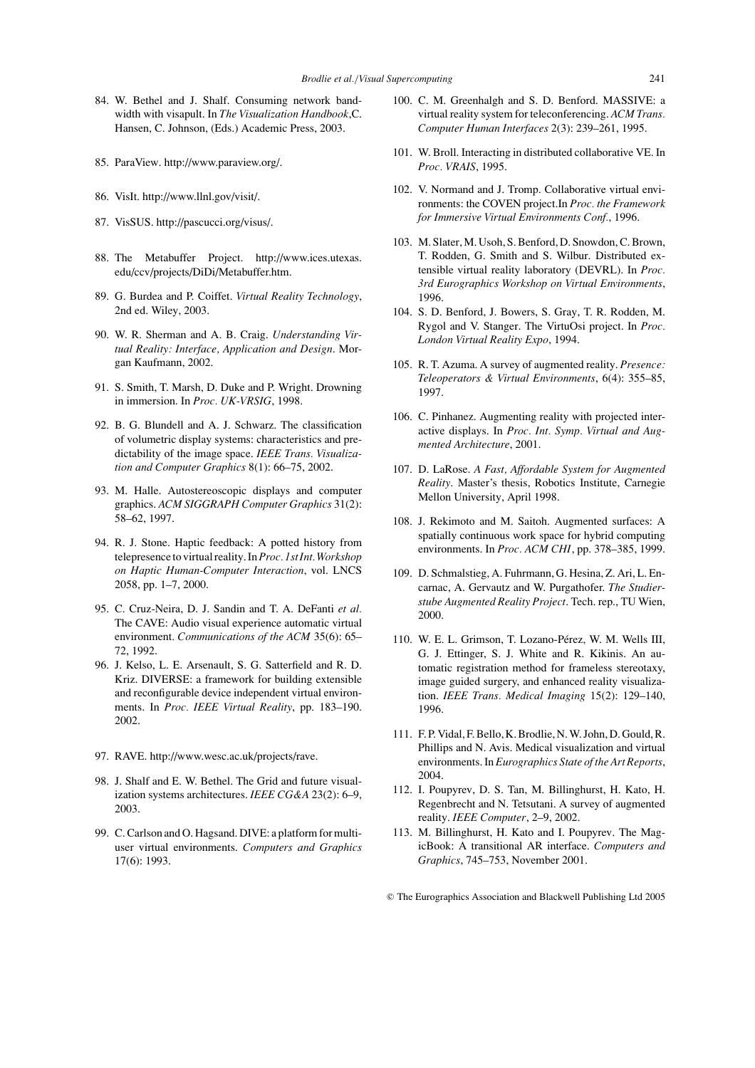- 84. W. Bethel and J. Shalf. Consuming network bandwidth with visapult. In *The Visualization Handbook*,C. Hansen, C. Johnson, (Eds.) Academic Press, 2003.
- 85. ParaView. http://www.paraview.org/.
- 86. VisIt. http://www.llnl.gov/visit/.
- 87. VisSUS. http://pascucci.org/visus/.
- 88. The Metabuffer Project. http://www.ices.utexas. edu/ccv/projects/DiDi/Metabuffer.htm.
- 89. G. Burdea and P. Coiffet. *Virtual Reality Technology*, 2nd ed. Wiley, 2003.
- 90. W. R. Sherman and A. B. Craig. *Understanding Virtual Reality: Interface, Application and Design*. Morgan Kaufmann, 2002.
- 91. S. Smith, T. Marsh, D. Duke and P. Wright. Drowning in immersion. In *Proc. UK-VRSIG*, 1998.
- 92. B. G. Blundell and A. J. Schwarz. The classification of volumetric display systems: characteristics and predictability of the image space. *IEEE Trans. Visualization and Computer Graphics* 8(1): 66–75, 2002.
- 93. M. Halle. Autostereoscopic displays and computer graphics. *ACM SIGGRAPH Computer Graphics* 31(2): 58–62, 1997.
- 94. R. J. Stone. Haptic feedback: A potted history from telepresence to virtual reality. In*Proc. 1st Int. Workshop on Haptic Human-Computer Interaction*, vol. LNCS 2058, pp. 1–7, 2000.
- 95. C. Cruz-Neira, D. J. Sandin and T. A. DeFanti *et al.* The CAVE: Audio visual experience automatic virtual environment. *Communications of the ACM* 35(6): 65– 72, 1992.
- 96. J. Kelso, L. E. Arsenault, S. G. Satterfield and R. D. Kriz. DIVERSE: a framework for building extensible and reconfigurable device independent virtual environments. In *Proc. IEEE Virtual Reality*, pp. 183–190. 2002.
- 97. RAVE. http://www.wesc.ac.uk/projects/rave.
- 98. J. Shalf and E. W. Bethel. The Grid and future visualization systems architectures. *IEEE CG&A* 23(2): 6–9, 2003.
- 99. C. Carlson and O. Hagsand. DIVE: a platform for multiuser virtual environments. *Computers and Graphics* 17(6): 1993.
- 100. C. M. Greenhalgh and S. D. Benford. MASSIVE: a virtual reality system for teleconferencing. *ACM Trans. Computer Human Interfaces* 2(3): 239–261, 1995.
- 101. W. Broll. Interacting in distributed collaborative VE. In *Proc. VRAIS*, 1995.
- 102. V. Normand and J. Tromp. Collaborative virtual environments: the COVEN project.In *Proc. the Framework for Immersive Virtual Environments Conf.*, 1996.
- 103. M. Slater, M. Usoh, S. Benford, D. Snowdon, C. Brown, T. Rodden, G. Smith and S. Wilbur. Distributed extensible virtual reality laboratory (DEVRL). In *Proc. 3rd Eurographics Workshop on Virtual Environments*, 1996.
- 104. S. D. Benford, J. Bowers, S. Gray, T. R. Rodden, M. Rygol and V. Stanger. The VirtuOsi project. In *Proc. London Virtual Reality Expo*, 1994.
- 105. R. T. Azuma. A survey of augmented reality. *Presence: Teleoperators & Virtual Environments*, 6(4): 355–85, 1997.
- 106. C. Pinhanez. Augmenting reality with projected interactive displays. In *Proc. Int. Symp. Virtual and Augmented Architecture*, 2001.
- 107. D. LaRose. *A Fast, Affordable System for Augmented Reality*. Master's thesis, Robotics Institute, Carnegie Mellon University, April 1998.
- 108. J. Rekimoto and M. Saitoh. Augmented surfaces: A spatially continuous work space for hybrid computing environments. In *Proc. ACM CHI*, pp. 378–385, 1999.
- 109. D. Schmalstieg, A. Fuhrmann, G. Hesina, Z. Ari, L. Encarnac, A. Gervautz and W. Purgathofer. *The Studierstube Augmented Reality Project*. Tech. rep., TU Wien, 2000.
- 110. W. E. L. Grimson, T. Lozano-Pérez, W. M. Wells III, G. J. Ettinger, S. J. White and R. Kikinis. An automatic registration method for frameless stereotaxy, image guided surgery, and enhanced reality visualization. *IEEE Trans. Medical Imaging* 15(2): 129–140, 1996.
- 111. F. P. Vidal, F. Bello, K. Brodlie, N. W. John, D. Gould, R. Phillips and N. Avis. Medical visualization and virtual environments. In *Eurographics State of the Art Reports*, 2004.
- 112. I. Poupyrev, D. S. Tan, M. Billinghurst, H. Kato, H. Regenbrecht and N. Tetsutani. A survey of augmented reality. *IEEE Computer*, 2–9, 2002.
- 113. M. Billinghurst, H. Kato and I. Poupyrev. The MagicBook: A transitional AR interface. *Computers and Graphics*, 745–753, November 2001.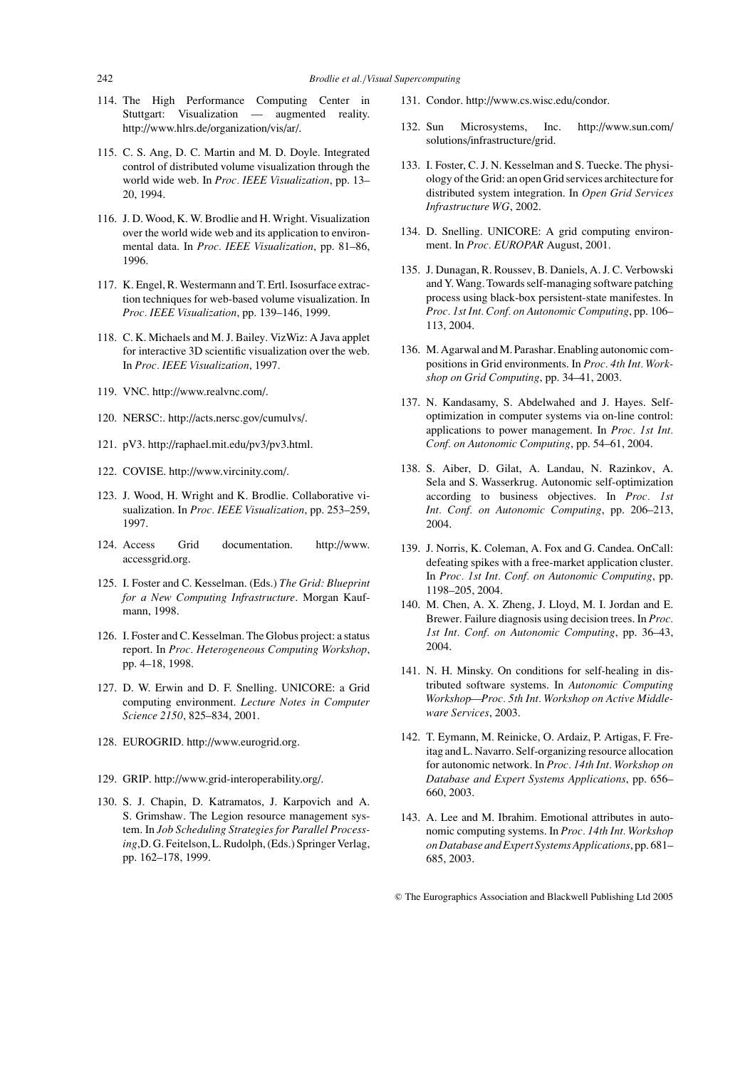- 114. The High Performance Computing Center in Stuttgart: Visualization — augmented reality. http://www.hlrs.de/organization/vis/ar/.
- 115. C. S. Ang, D. C. Martin and M. D. Doyle. Integrated control of distributed volume visualization through the world wide web. In *Proc. IEEE Visualization*, pp. 13– 20, 1994.
- 116. J. D. Wood, K. W. Brodlie and H. Wright. Visualization over the world wide web and its application to environmental data. In *Proc. IEEE Visualization*, pp. 81–86, 1996.
- 117. K. Engel, R. Westermann and T. Ertl. Isosurface extraction techniques for web-based volume visualization. In *Proc. IEEE Visualization*, pp. 139–146, 1999.
- 118. C. K. Michaels and M. J. Bailey. VizWiz: A Java applet for interactive 3D scientific visualization over the web. In *Proc. IEEE Visualization*, 1997.
- 119. VNC. http://www.realvnc.com/.
- 120. NERSC:. http://acts.nersc.gov/cumulvs/.
- 121. pV3. http://raphael.mit.edu/pv3/pv3.html.
- 122. COVISE. http://www.vircinity.com/.
- 123. J. Wood, H. Wright and K. Brodlie. Collaborative visualization. In *Proc. IEEE Visualization*, pp. 253–259, 1997.
- 124. Access Grid documentation. http://www. accessgrid.org.
- 125. I. Foster and C. Kesselman. (Eds.) *The Grid: Blueprint for a New Computing Infrastructure*. Morgan Kaufmann, 1998.
- 126. I. Foster and C. Kesselman. The Globus project: a status report. In *Proc. Heterogeneous Computing Workshop*, pp. 4–18, 1998.
- 127. D. W. Erwin and D. F. Snelling. UNICORE: a Grid computing environment. *Lecture Notes in Computer Science 2150*, 825–834, 2001.
- 128. EUROGRID. http://www.eurogrid.org.
- 129. GRIP. http://www.grid-interoperability.org/.
- 130. S. J. Chapin, D. Katramatos, J. Karpovich and A. S. Grimshaw. The Legion resource management system. In *Job Scheduling Strategies for Parallel Processing*,D. G. Feitelson, L. Rudolph, (Eds.) Springer Verlag, pp. 162–178, 1999.
- 131. Condor. http://www.cs.wisc.edu/condor.
- 132. Sun Microsystems, Inc. http://www.sun.com/ solutions/infrastructure/grid.
- 133. I. Foster, C. J. N. Kesselman and S. Tuecke. The physiology of the Grid: an open Grid services architecture for distributed system integration. In *Open Grid Services Infrastructure WG*, 2002.
- 134. D. Snelling. UNICORE: A grid computing environment. In *Proc. EUROPAR* August, 2001.
- 135. J. Dunagan, R. Roussev, B. Daniels, A. J. C. Verbowski and Y. Wang. Towards self-managing software patching process using black-box persistent-state manifestes. In *Proc. 1st Int. Conf. on Autonomic Computing*, pp. 106– 113, 2004.
- 136. M. Agarwal and M. Parashar. Enabling autonomic compositions in Grid environments. In *Proc. 4th Int. Workshop on Grid Computing*, pp. 34–41, 2003.
- 137. N. Kandasamy, S. Abdelwahed and J. Hayes. Selfoptimization in computer systems via on-line control: applications to power management. In *Proc. 1st Int. Conf. on Autonomic Computing*, pp. 54–61, 2004.
- 138. S. Aiber, D. Gilat, A. Landau, N. Razinkov, A. Sela and S. Wasserkrug. Autonomic self-optimization according to business objectives. In *Proc. 1st Int. Conf. on Autonomic Computing*, pp. 206–213, 2004.
- 139. J. Norris, K. Coleman, A. Fox and G. Candea. OnCall: defeating spikes with a free-market application cluster. In *Proc. 1st Int. Conf. on Autonomic Computing*, pp. 1198–205, 2004.
- 140. M. Chen, A. X. Zheng, J. Lloyd, M. I. Jordan and E. Brewer. Failure diagnosis using decision trees. In *Proc. 1st Int. Conf. on Autonomic Computing*, pp. 36–43, 2004.
- 141. N. H. Minsky. On conditions for self-healing in distributed software systems. In *Autonomic Computing Workshop—Proc. 5th Int. Workshop on Active Middleware Services*, 2003.
- 142. T. Eymann, M. Reinicke, O. Ardaiz, P. Artigas, F. Freitag and L. Navarro. Self-organizing resource allocation for autonomic network. In *Proc. 14th Int. Workshop on Database and Expert Systems Applications*, pp. 656– 660, 2003.
- 143. A. Lee and M. Ibrahim. Emotional attributes in autonomic computing systems. In *Proc. 14th Int. Workshop on Database and Expert Systems Applications*, pp. 681– 685, 2003.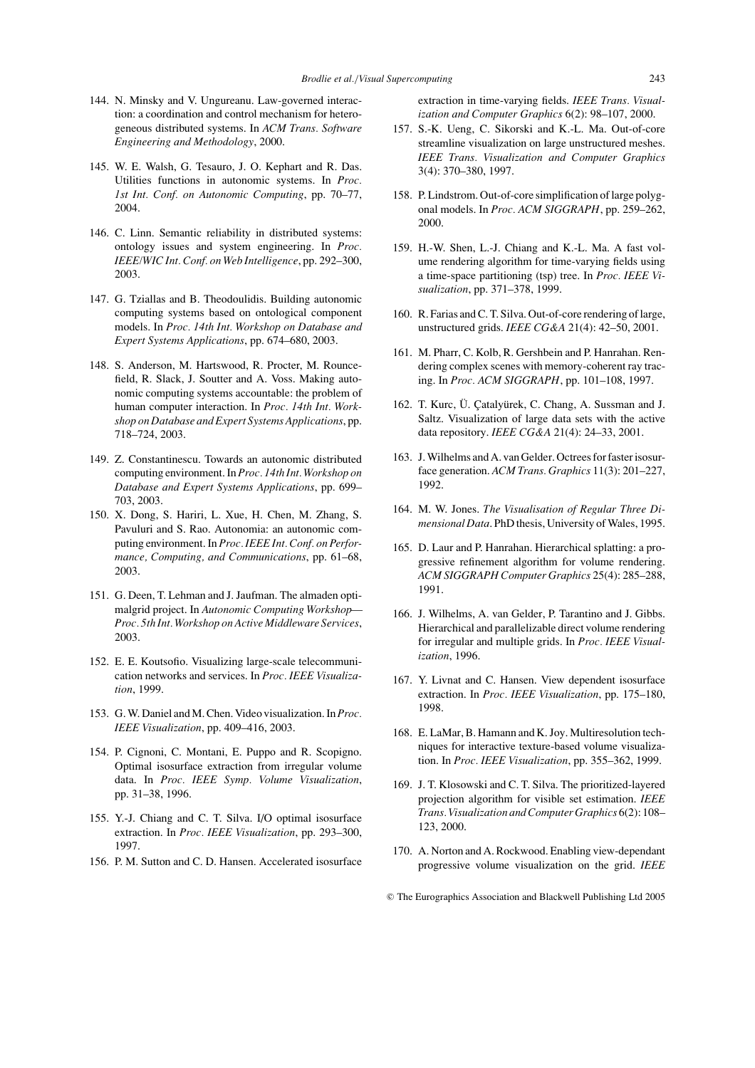- 144. N. Minsky and V. Ungureanu. Law-governed interaction: a coordination and control mechanism for heterogeneous distributed systems. In *ACM Trans. Software Engineering and Methodology*, 2000.
- 145. W. E. Walsh, G. Tesauro, J. O. Kephart and R. Das. Utilities functions in autonomic systems. In *Proc. 1st Int. Conf. on Autonomic Computing*, pp. 70–77, 2004.
- 146. C. Linn. Semantic reliability in distributed systems: ontology issues and system engineering. In *Proc. IEEE/WIC Int. Conf. on Web Intelligence*, pp. 292–300, 2003.
- 147. G. Tziallas and B. Theodoulidis. Building autonomic computing systems based on ontological component models. In *Proc. 14th Int. Workshop on Database and Expert Systems Applications*, pp. 674–680, 2003.
- 148. S. Anderson, M. Hartswood, R. Procter, M. Rouncefield, R. Slack, J. Soutter and A. Voss. Making autonomic computing systems accountable: the problem of human computer interaction. In *Proc. 14th Int. Workshop on Database and Expert Systems Applications*, pp. 718–724, 2003.
- 149. Z. Constantinescu. Towards an autonomic distributed computing environment. In *Proc. 14th Int. Workshop on Database and Expert Systems Applications*, pp. 699– 703, 2003.
- 150. X. Dong, S. Hariri, L. Xue, H. Chen, M. Zhang, S. Pavuluri and S. Rao. Autonomia: an autonomic computing environment. In *Proc. IEEE Int. Conf. on Performance, Computing, and Communications*, pp. 61–68, 2003.
- 151. G. Deen, T. Lehman and J. Jaufman. The almaden optimalgrid project. In *Autonomic Computing Workshop— Proc. 5th Int. Workshop on Active Middleware Services*, 2003.
- 152. E. E. Koutsofio. Visualizing large-scale telecommunication networks and services. In *Proc. IEEE Visualization*, 1999.
- 153. G. W. Daniel and M. Chen. Video visualization. In*Proc. IEEE Visualization*, pp. 409–416, 2003.
- 154. P. Cignoni, C. Montani, E. Puppo and R. Scopigno. Optimal isosurface extraction from irregular volume data. In *Proc. IEEE Symp. Volume Visualization*, pp. 31–38, 1996.
- 155. Y.-J. Chiang and C. T. Silva. I/O optimal isosurface extraction. In *Proc. IEEE Visualization*, pp. 293–300, 1997.
- 156. P. M. Sutton and C. D. Hansen. Accelerated isosurface

extraction in time-varying fields. *IEEE Trans. Visualization and Computer Graphics* 6(2): 98–107, 2000.

- 157. S.-K. Ueng, C. Sikorski and K.-L. Ma. Out-of-core streamline visualization on large unstructured meshes. *IEEE Trans. Visualization and Computer Graphics* 3(4): 370–380, 1997.
- 158. P. Lindstrom. Out-of-core simplification of large polygonal models. In *Proc. ACM SIGGRAPH*, pp. 259–262, 2000.
- 159. H.-W. Shen, L.-J. Chiang and K.-L. Ma. A fast volume rendering algorithm for time-varying fields using a time-space partitioning (tsp) tree. In *Proc. IEEE Visualization*, pp. 371–378, 1999.
- 160. R. Farias and C. T. Silva. Out-of-core rendering of large, unstructured grids. *IEEE CG&A* 21(4): 42–50, 2001.
- 161. M. Pharr, C. Kolb, R. Gershbein and P. Hanrahan. Rendering complex scenes with memory-coherent ray tracing. In *Proc. ACM SIGGRAPH*, pp. 101–108, 1997.
- 162. T. Kurc, Ü. Çatalyürek, C. Chang, A. Sussman and J. Saltz. Visualization of large data sets with the active data repository. *IEEE CG&A* 21(4): 24–33, 2001.
- 163. J. Wilhelms and A. van Gelder. Octrees for faster isosurface generation. *ACM Trans. Graphics* 11(3): 201–227, 1992.
- 164. M. W. Jones. *The Visualisation of Regular Three Dimensional Data*. PhD thesis, University of Wales, 1995.
- 165. D. Laur and P. Hanrahan. Hierarchical splatting: a progressive refinement algorithm for volume rendering. *ACM SIGGRAPH Computer Graphics* 25(4): 285–288, 1991.
- 166. J. Wilhelms, A. van Gelder, P. Tarantino and J. Gibbs. Hierarchical and parallelizable direct volume rendering for irregular and multiple grids. In *Proc. IEEE Visualization*, 1996.
- 167. Y. Livnat and C. Hansen. View dependent isosurface extraction. In *Proc. IEEE Visualization*, pp. 175–180, 1998.
- 168. E. LaMar, B. Hamann and K. Joy. Multiresolution techniques for interactive texture-based volume visualization. In *Proc. IEEE Visualization*, pp. 355–362, 1999.
- 169. J. T. Klosowski and C. T. Silva. The prioritized-layered projection algorithm for visible set estimation. *IEEE Trans. Visualization and Computer Graphics* 6(2): 108– 123, 2000.
- 170. A. Norton and A. Rockwood. Enabling view-dependant progressive volume visualization on the grid. *IEEE*
- c The Eurographics Association and Blackwell Publishing Ltd 2005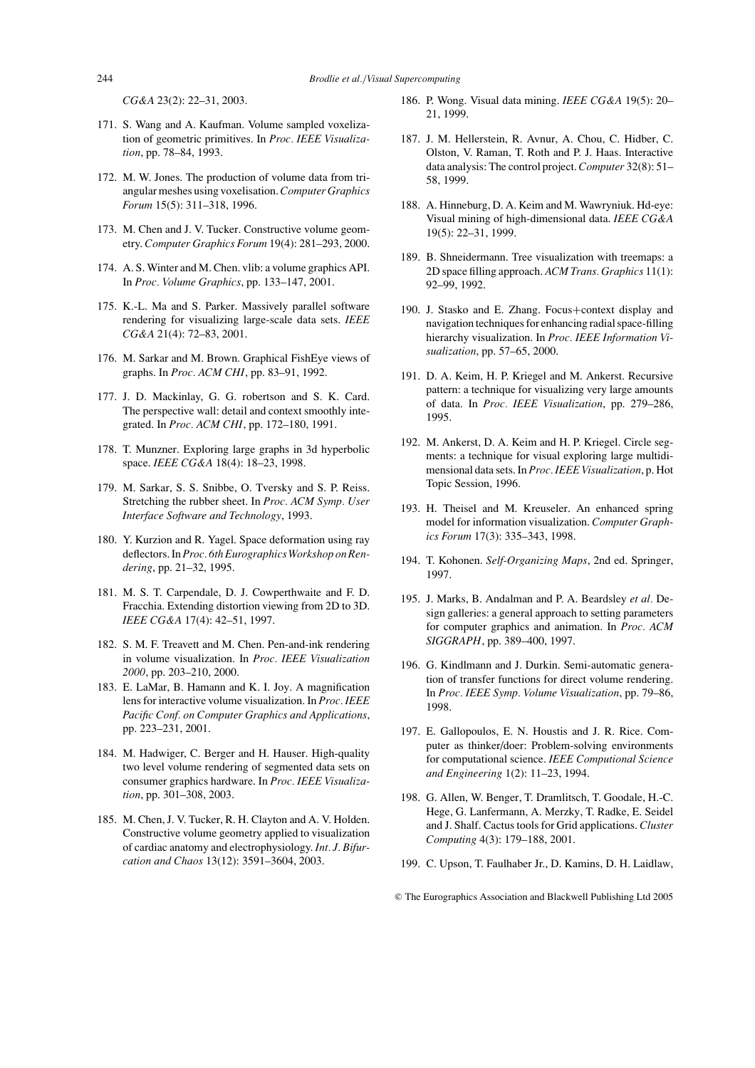*CG&A* 23(2): 22–31, 2003.

- 171. S. Wang and A. Kaufman. Volume sampled voxelization of geometric primitives. In *Proc. IEEE Visualization*, pp. 78–84, 1993.
- 172. M. W. Jones. The production of volume data from triangular meshes using voxelisation.*Computer Graphics Forum* 15(5): 311–318, 1996.
- 173. M. Chen and J. V. Tucker. Constructive volume geometry. *Computer Graphics Forum* 19(4): 281–293, 2000.
- 174. A. S. Winter and M. Chen. vlib: a volume graphics API. In *Proc. Volume Graphics*, pp. 133–147, 2001.
- 175. K.-L. Ma and S. Parker. Massively parallel software rendering for visualizing large-scale data sets. *IEEE CG&A* 21(4): 72–83, 2001.
- 176. M. Sarkar and M. Brown. Graphical FishEye views of graphs. In *Proc. ACM CHI*, pp. 83–91, 1992.
- 177. J. D. Mackinlay, G. G. robertson and S. K. Card. The perspective wall: detail and context smoothly integrated. In *Proc. ACM CHI*, pp. 172–180, 1991.
- 178. T. Munzner. Exploring large graphs in 3d hyperbolic space. *IEEE CG&A* 18(4): 18–23, 1998.
- 179. M. Sarkar, S. S. Snibbe, O. Tversky and S. P. Reiss. Stretching the rubber sheet. In *Proc. ACM Symp. User Interface Software and Technology*, 1993.
- 180. Y. Kurzion and R. Yagel. Space deformation using ray deflectors. In*Proc. 6th Eurographics Workshop on Rendering*, pp. 21–32, 1995.
- 181. M. S. T. Carpendale, D. J. Cowperthwaite and F. D. Fracchia. Extending distortion viewing from 2D to 3D. *IEEE CG&A* 17(4): 42–51, 1997.
- 182. S. M. F. Treavett and M. Chen. Pen-and-ink rendering in volume visualization. In *Proc. IEEE Visualization 2000*, pp. 203–210, 2000.
- 183. E. LaMar, B. Hamann and K. I. Joy. A magnification lens for interactive volume visualization. In *Proc. IEEE Pacific Conf. on Computer Graphics and Applications*, pp. 223–231, 2001.
- 184. M. Hadwiger, C. Berger and H. Hauser. High-quality two level volume rendering of segmented data sets on consumer graphics hardware. In *Proc. IEEE Visualization*, pp. 301–308, 2003.
- 185. M. Chen, J. V. Tucker, R. H. Clayton and A. V. Holden. Constructive volume geometry applied to visualization of cardiac anatomy and electrophysiology. *Int. J. Bifurcation and Chaos* 13(12): 3591–3604, 2003.
- 186. P. Wong. Visual data mining. *IEEE CG&A* 19(5): 20– 21, 1999.
- 187. J. M. Hellerstein, R. Avnur, A. Chou, C. Hidber, C. Olston, V. Raman, T. Roth and P. J. Haas. Interactive data analysis: The control project.*Computer* 32(8): 51– 58, 1999.
- 188. A. Hinneburg, D. A. Keim and M. Wawryniuk. Hd-eye: Visual mining of high-dimensional data. *IEEE CG&A* 19(5): 22–31, 1999.
- 189. B. Shneidermann. Tree visualization with treemaps: a 2D space filling approach. *ACM Trans. Graphics* 11(1): 92–99, 1992.
- 190. J. Stasko and E. Zhang. Focus+context display and navigation techniques for enhancing radial space-filling hierarchy visualization. In *Proc. IEEE Information Visualization*, pp. 57–65, 2000.
- 191. D. A. Keim, H. P. Kriegel and M. Ankerst. Recursive pattern: a technique for visualizing very large amounts of data. In *Proc. IEEE Visualization*, pp. 279–286, 1995.
- 192. M. Ankerst, D. A. Keim and H. P. Kriegel. Circle segments: a technique for visual exploring large multidimensional data sets. In *Proc. IEEE Visualization*, p. Hot Topic Session, 1996.
- 193. H. Theisel and M. Kreuseler. An enhanced spring model for information visualization. *Computer Graphics Forum* 17(3): 335–343, 1998.
- 194. T. Kohonen. *Self-Organizing Maps*, 2nd ed. Springer, 1997.
- 195. J. Marks, B. Andalman and P. A. Beardsley *et al.* Design galleries: a general approach to setting parameters for computer graphics and animation. In *Proc. ACM SIGGRAPH*, pp. 389–400, 1997.
- 196. G. Kindlmann and J. Durkin. Semi-automatic generation of transfer functions for direct volume rendering. In *Proc. IEEE Symp. Volume Visualization*, pp. 79–86, 1998.
- 197. E. Gallopoulos, E. N. Houstis and J. R. Rice. Computer as thinker/doer: Problem-solving environments for computational science. *IEEE Computional Science and Engineering* 1(2): 11–23, 1994.
- 198. G. Allen, W. Benger, T. Dramlitsch, T. Goodale, H.-C. Hege, G. Lanfermann, A. Merzky, T. Radke, E. Seidel and J. Shalf. Cactus tools for Grid applications. *Cluster Computing* 4(3): 179–188, 2001.
- 199. C. Upson, T. Faulhaber Jr., D. Kamins, D. H. Laidlaw,